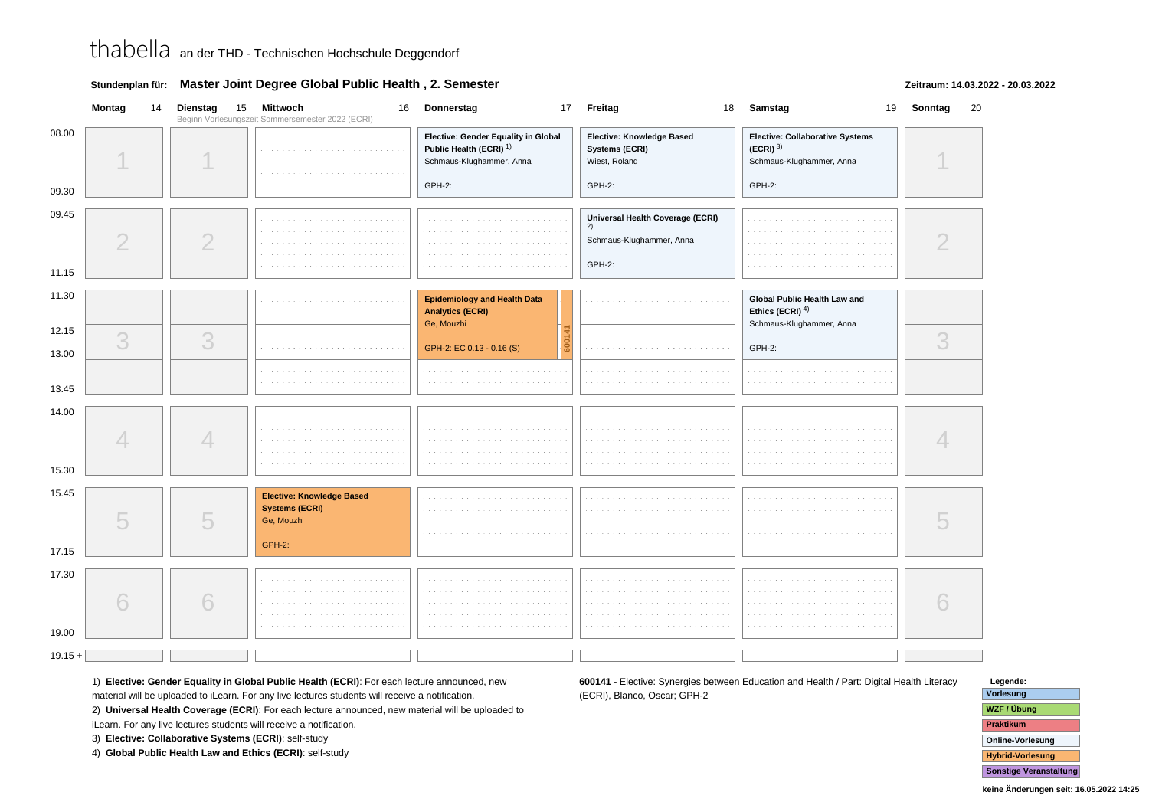|  | Stundenplan für: Master Joint Degree Global Public Health, 2. Semester |  |  |
|--|------------------------------------------------------------------------|--|--|
|--|------------------------------------------------------------------------|--|--|

### **Zeitraum: 14.03.2022 - 20.03.2022**

|                | Montag         | 14 Dienstag<br>15 | Mittwoch<br>Beginn Vorlesungszeit Sommersemester 2022 (ECRI) | 16 Donnerstag                                                                                         | 17 Freitag                                                                   | 18 Samstag                                                                            | 19 Sonntag<br>20 |
|----------------|----------------|-------------------|--------------------------------------------------------------|-------------------------------------------------------------------------------------------------------|------------------------------------------------------------------------------|---------------------------------------------------------------------------------------|------------------|
| 08.00          |                |                   |                                                              | Elective: Gender Equality in Global<br>Public Health (ECRI) <sup>1)</sup><br>Schmaus-Klughammer, Anna | Elective: Knowledge Based<br>Systems (ECRI)<br>Wiest, Roland                 | Elective: Collaborative Systems<br>$(ECRI)$ <sup>3)</sup><br>Schmaus-Klughammer, Anna |                  |
| 09.30          |                |                   |                                                              | GPH-2:                                                                                                | GPH-2:                                                                       | GPH-2:                                                                                |                  |
| 09.45<br>11.15 | $\overline{2}$ | $\overline{2}$    | and and                                                      | 1.111                                                                                                 | Universal Health Coverage (ECRI)<br>2)<br>Schmaus-Klughammer, Anna<br>GPH-2: |                                                                                       |                  |
|                |                |                   |                                                              |                                                                                                       |                                                                              |                                                                                       |                  |
| 11.30          |                |                   |                                                              | <b>Epidemiology and Health Data</b><br><b>Analytics (ECRI)</b><br>Ge, Mouzhi                          |                                                                              | Global Public Health Law and<br>Ethics (ECRI) $4$ )<br>Schmaus-Klughammer, Anna       |                  |
| 12.15          | 3              | 3                 | and and                                                      |                                                                                                       | contractors.                                                                 |                                                                                       | 3                |
| 13.00          |                |                   |                                                              | GPH-2: EC 0.13 - 0.16 (S)                                                                             |                                                                              | GPH-2:                                                                                |                  |
| 13.45          |                |                   |                                                              |                                                                                                       |                                                                              |                                                                                       |                  |
| 14.00<br>15.30 |                | 4                 |                                                              |                                                                                                       |                                                                              |                                                                                       |                  |
| 15.45          |                |                   | <b>Elective: Knowledge Based</b>                             |                                                                                                       |                                                                              |                                                                                       |                  |
| 17.15          | 5              | 5                 | <b>Systems (ECRI)</b><br>Ge, Mouzhi<br><b>GPH-2:</b>         |                                                                                                       |                                                                              |                                                                                       |                  |
|                |                |                   |                                                              |                                                                                                       |                                                                              |                                                                                       |                  |
| 17.30          | 6              | 6                 |                                                              | and and<br><b>College</b>                                                                             | and and<br>.                                                                 |                                                                                       |                  |
| 19.00          |                |                   |                                                              |                                                                                                       |                                                                              |                                                                                       |                  |
| $19.15 +$      |                |                   |                                                              |                                                                                                       |                                                                              |                                                                                       |                  |

1) **Elective: Gender Equality in Global Public Health (ECRI)**: For each lecture announced, new

material will be uploaded to iLearn. For any live lectures students will receive a notification.

2) **Universal Health Coverage (ECRI)**: For each lecture announced, new material will be uploaded to

iLearn. For any live lectures students will receive a notification.

3) **Elective: Collaborative Systems (ECRI)**: self-study

4) **Global Public Health Law and Ethics (ECRI)**: self-study

**600141** - Elective: Synergies between Education and Health / Part: Digital Health Literacy(ECRI), Blanco, Oscar; GPH-2

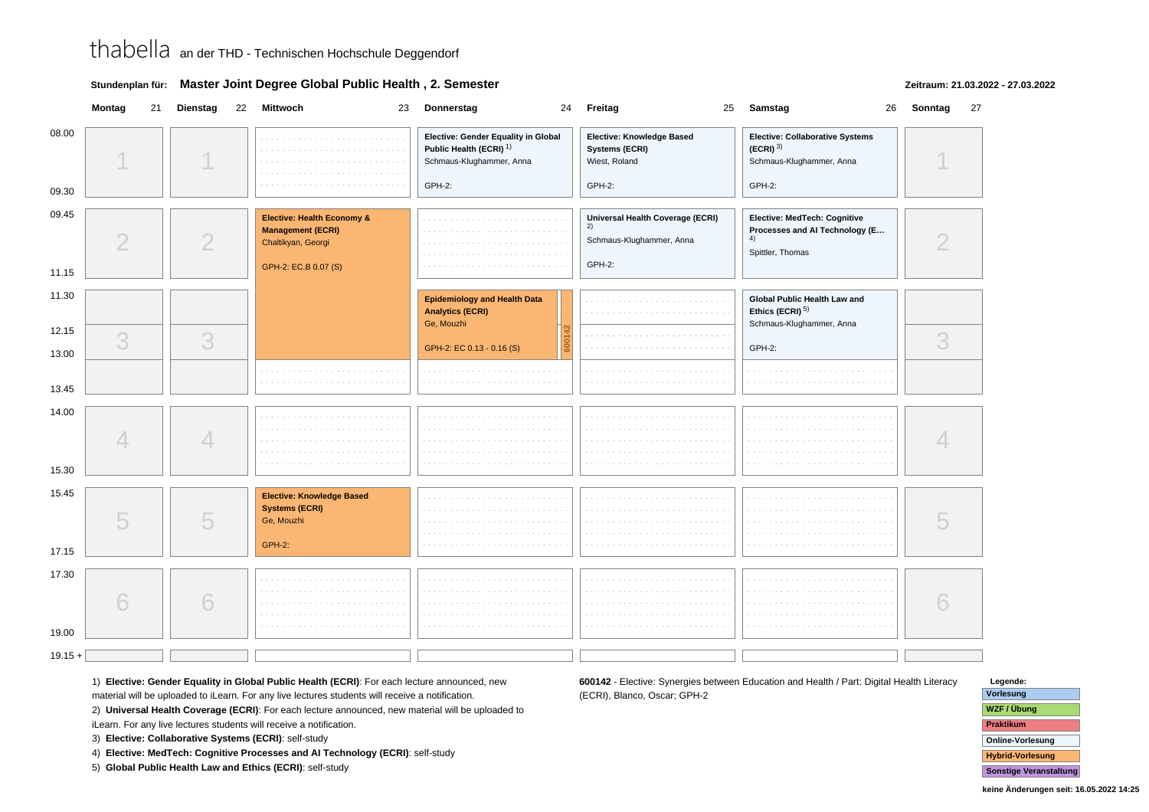|  | Stundenplan für: Master Joint Degree Global Public Health, 2. Semester |
|--|------------------------------------------------------------------------|
|--|------------------------------------------------------------------------|

### **Zeitraum: 21.03.2022 - 27.03.2022**

|                | Montag<br>21   | Dienstag | 22 Mittwoch                                                                                                     | 23 Donnerstag<br>24                                                                                             | Freitag                                                                       | 26<br>25 Samstag                                                                                       | Sonntag<br>27 |
|----------------|----------------|----------|-----------------------------------------------------------------------------------------------------------------|-----------------------------------------------------------------------------------------------------------------|-------------------------------------------------------------------------------|--------------------------------------------------------------------------------------------------------|---------------|
| 08.00<br>09.30 |                |          | .<br>and a state                                                                                                | Elective: Gender Equality in Global<br>Public Health (ECRI) <sup>1)</sup><br>Schmaus-Klughammer, Anna<br>GPH-2: | <b>Elective: Knowledge Based</b><br>Systems (ECRI)<br>Wiest, Roland<br>GPH-2: | <b>Elective: Collaborative Systems</b><br>$(ECRI)$ <sup>3)</sup><br>Schmaus-Klughammer, Anna<br>GPH-2: |               |
| 09.45<br>11.15 | $\overline{2}$ | 2        | <b>Elective: Health Economy &amp;</b><br><b>Management (ECRI)</b><br>Chaltikyan, Georgi<br>GPH-2: EC.B 0.07 (S) |                                                                                                                 | Universal Health Coverage (ECRI)<br>2)<br>Schmaus-Klughammer, Anna<br>GPH-2:  | Elective: MedTech: Cognitive<br>Processes and Al Technology (E<br>4)<br>Spittler, Thomas               |               |
| 11.30          |                |          |                                                                                                                 | <b>Epidemiology and Health Data</b><br><b>Analytics (ECRI)</b><br>Ge, Mouzhi                                    |                                                                               | Global Public Health Law and<br>Ethics (ECRI) <sup>5)</sup><br>Schmaus-Klughammer, Anna                |               |
| 12.15<br>13.00 | 3              | 3        |                                                                                                                 | GPH-2: EC 0.13 - 0.16 (S)                                                                                       |                                                                               | GPH-2:                                                                                                 | 3             |
| 13.45          |                |          |                                                                                                                 |                                                                                                                 |                                                                               |                                                                                                        |               |
| 14.00<br>15.30 |                | 4        |                                                                                                                 |                                                                                                                 |                                                                               |                                                                                                        |               |
| 15.45<br>17.15 | 5              | 5        | <b>Elective: Knowledge Based</b><br><b>Systems (ECRI)</b><br>Ge, Mouzhi<br><b>GPH-2:</b>                        |                                                                                                                 |                                                                               |                                                                                                        |               |
| 17.30<br>19.00 | 6              | 6        |                                                                                                                 |                                                                                                                 |                                                                               |                                                                                                        |               |
| $19.15 +$      |                |          |                                                                                                                 |                                                                                                                 |                                                                               |                                                                                                        |               |

1) **Elective: Gender Equality in Global Public Health (ECRI)**: For each lecture announced, new

material will be uploaded to iLearn. For any live lectures students will receive a notification.

2) **Universal Health Coverage (ECRI)**: For each lecture announced, new material will be uploaded to

iLearn. For any live lectures students will receive a notification.

3) **Elective: Collaborative Systems (ECRI)**: self-study

4) **Elective: MedTech: Cognitive Processes and AI Technology (ECRI)**: self-study

5) **Global Public Health Law and Ethics (ECRI)**: self-study

**600142** - Elective: Synergies between Education and Health / Part: Digital Health Literacy(ECRI), Blanco, Oscar; GPH-2

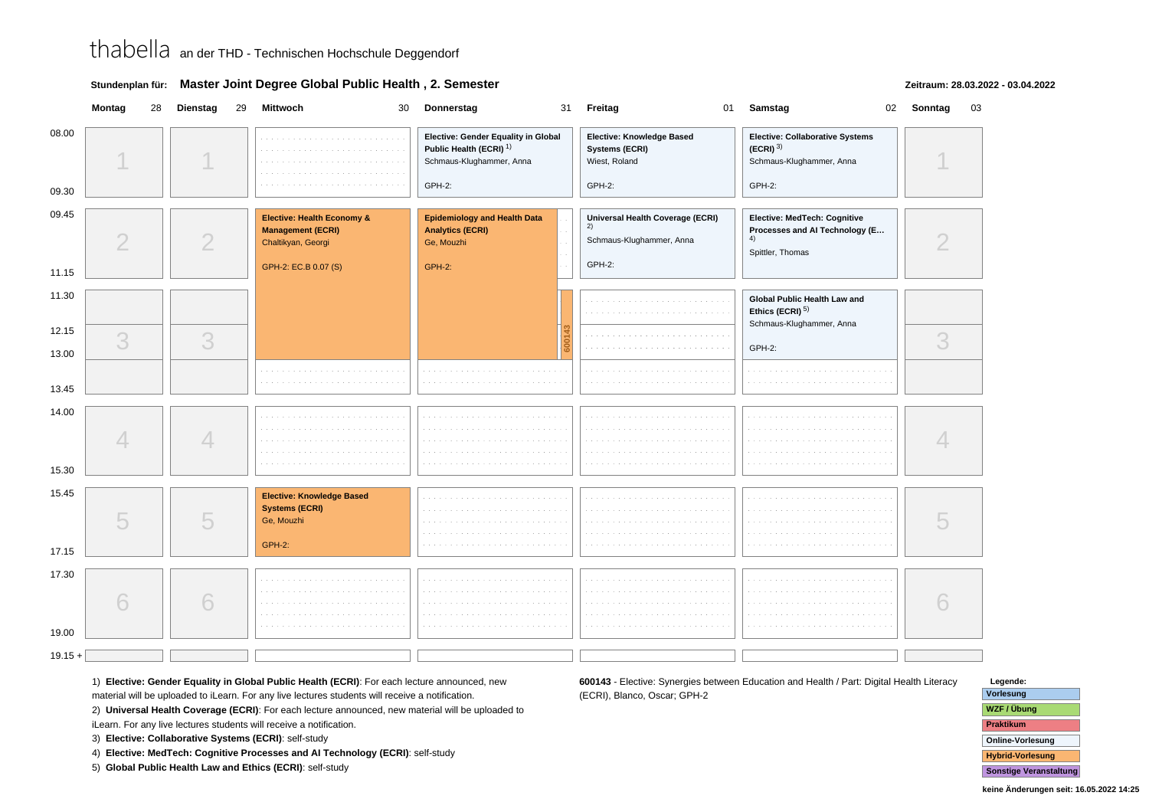|  | Stundenplan für: Master Joint Degree Global Public Health, 2. Semester |
|--|------------------------------------------------------------------------|
|--|------------------------------------------------------------------------|

### **Zeitraum: 28.03.2022 - 03.04.2022**

|                | Montag         | 28 Dienstag | 29 Mittwoch<br>30                                                                                    | Donnerstag                                                                                                      | 31 Freitag                                                                                 | 01 Samstag                                                                                   | 02 Sonntag | 03 |
|----------------|----------------|-------------|------------------------------------------------------------------------------------------------------|-----------------------------------------------------------------------------------------------------------------|--------------------------------------------------------------------------------------------|----------------------------------------------------------------------------------------------|------------|----|
| 08.00<br>09.30 |                |             |                                                                                                      | Elective: Gender Equality in Global<br>Public Health (ECRI) <sup>1)</sup><br>Schmaus-Klughammer, Anna<br>GPH-2: | Elective: Knowledge Based<br>Systems (ECRI)<br>Wiest, Roland<br>GPH-2:                     | Elective: Collaborative Systems<br>$(ECRI)^{3}$<br>Schmaus-Klughammer, Anna<br><b>GPH-2:</b> |            |    |
| 09.45          | $\overline{2}$ | 2           | Elective: Health Economy &<br><b>Management (ECRI)</b><br>Chaltikyan, Georgi<br>GPH-2: EC.B 0.07 (S) | <b>Epidemiology and Health Data</b><br><b>Analytics (ECRI)</b><br>Ge, Mouzhi<br><b>GPH-2:</b>                   | Universal Health Coverage (ECRI)<br>$\overline{2}$ )<br>Schmaus-Klughammer, Anna<br>GPH-2: | Elective: MedTech: Cognitive<br>Processes and Al Technology (E<br>4)<br>Spittler, Thomas     |            |    |
| 11.15          |                |             |                                                                                                      |                                                                                                                 |                                                                                            |                                                                                              |            |    |
| 11.30          |                |             |                                                                                                      |                                                                                                                 |                                                                                            | Global Public Health Law and<br>Ethics (ECRI) <sup>5)</sup><br>Schmaus-Klughammer, Anna      |            |    |
| 12.15          | 3              | 3           |                                                                                                      |                                                                                                                 |                                                                                            |                                                                                              | 3          |    |
| 13.00          |                |             |                                                                                                      |                                                                                                                 |                                                                                            | GPH-2:                                                                                       |            |    |
| 13.45          |                |             |                                                                                                      |                                                                                                                 |                                                                                            |                                                                                              |            |    |
| 14.00<br>15.30 |                | 4           |                                                                                                      |                                                                                                                 |                                                                                            |                                                                                              |            |    |
| 15.45<br>17.15 | 5              | 5           | <b>Elective: Knowledge Based</b><br><b>Systems (ECRI)</b><br>Ge, Mouzhi<br><b>GPH-2:</b>             |                                                                                                                 |                                                                                            |                                                                                              |            |    |
| 17.30<br>19.00 | 6              | 6           |                                                                                                      |                                                                                                                 |                                                                                            |                                                                                              |            |    |
| $19.15 +$      |                |             |                                                                                                      |                                                                                                                 |                                                                                            |                                                                                              |            |    |
|                |                |             |                                                                                                      |                                                                                                                 |                                                                                            |                                                                                              |            |    |

1) **Elective: Gender Equality in Global Public Health (ECRI)**: For each lecture announced, new

material will be uploaded to iLearn. For any live lectures students will receive a notification.

2) **Universal Health Coverage (ECRI)**: For each lecture announced, new material will be uploaded to

iLearn. For any live lectures students will receive a notification.

3) **Elective: Collaborative Systems (ECRI)**: self-study

4) **Elective: MedTech: Cognitive Processes and AI Technology (ECRI)**: self-study

5) **Global Public Health Law and Ethics (ECRI)**: self-study

**600143** - Elective: Synergies between Education and Health / Part: Digital Health Literacy(ECRI), Blanco, Oscar; GPH-2

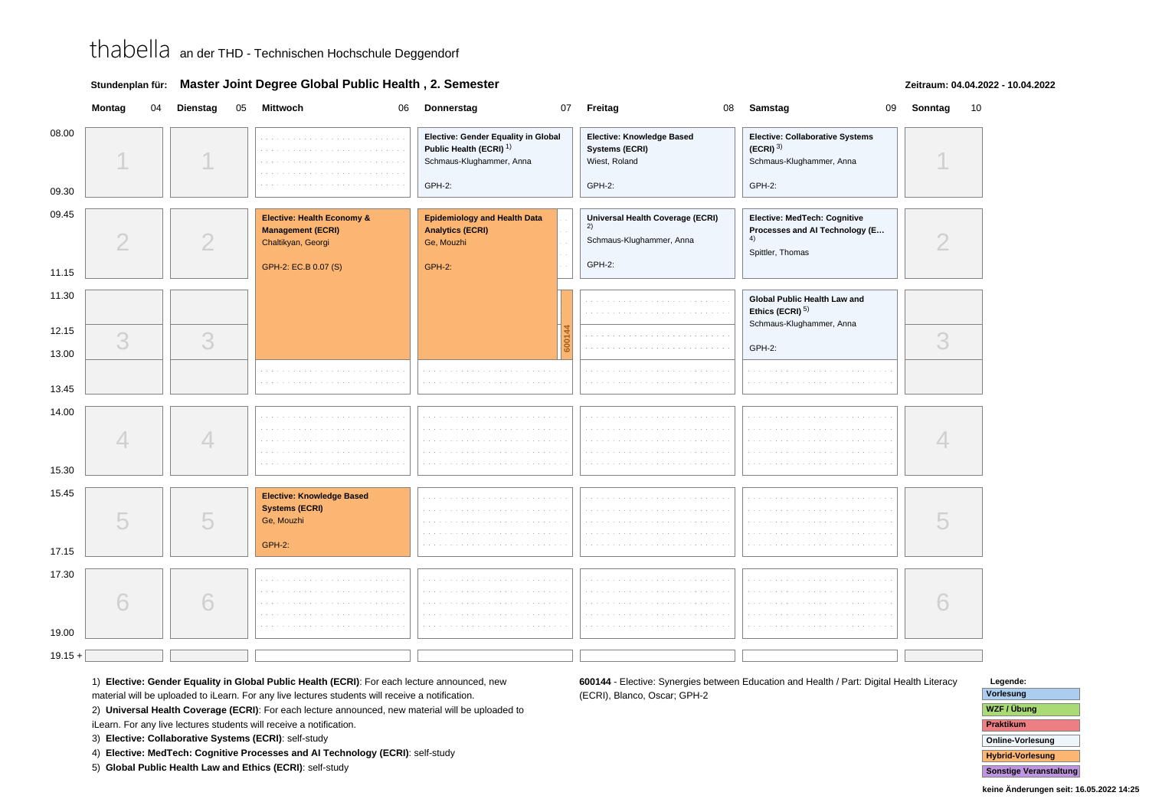|  | Stundenplan für: Master Joint Degree Global Public Health, 2. Semester |
|--|------------------------------------------------------------------------|
|--|------------------------------------------------------------------------|

### **Zeitraum: 04.04.2022 - 10.04.2022**

| Elective: Gender Equality in Global<br>Elective: Knowledge Based<br>Elective: Collaborative Systems<br>Public Health (ECRI) <sup>1)</sup><br>$(ECRI)^{3}$<br>Systems (ECRI)<br>Schmaus-Klughammer, Anna<br>Wiest, Roland<br>Schmaus-Klughammer, Anna<br>GPH-2:<br>GPH-2:<br>GPH-2:<br><b>Epidemiology and Health Data</b><br><b>Elective: Health Economy &amp;</b><br>Universal Health Coverage (ECRI)<br>Elective: MedTech: Cognitive<br>(2)<br><b>Management (ECRI)</b><br><b>Analytics (ECRI)</b><br>Processes and Al Technology (E<br>$\mathcal{P}$<br>$\overline{2}$<br>4)<br>Schmaus-Klughammer, Anna<br>Chaltikyan, Georgi<br>Ge, Mouzhi<br>Spittler, Thomas<br>GPH-2:<br>GPH-2: EC.B 0.07 (S)<br><b>GPH-2:</b><br>11.15<br>11.30<br>Global Public Health Law and<br>Ethics (ECRI) <sup>5)</sup><br>Schmaus-Klughammer, Anna<br>3<br>3<br>3<br>GPH-2:<br>4<br><b>Elective: Knowledge Based</b><br><b>Systems (ECRI)</b><br>5<br>5<br>Ge, Mouzhi<br><b>GPH-2:</b><br>6 |                | Montag | 04 Dienstag | 05 | Mittwoch<br>06 | Donnerstag | 07 | Freitag<br>08 | Samstag<br>09 | Sonntag | 10 |
|------------------------------------------------------------------------------------------------------------------------------------------------------------------------------------------------------------------------------------------------------------------------------------------------------------------------------------------------------------------------------------------------------------------------------------------------------------------------------------------------------------------------------------------------------------------------------------------------------------------------------------------------------------------------------------------------------------------------------------------------------------------------------------------------------------------------------------------------------------------------------------------------------------------------------------------------------------------------------|----------------|--------|-------------|----|----------------|------------|----|---------------|---------------|---------|----|
|                                                                                                                                                                                                                                                                                                                                                                                                                                                                                                                                                                                                                                                                                                                                                                                                                                                                                                                                                                              | 08.00<br>09.30 |        |             |    |                |            |    |               |               |         |    |
|                                                                                                                                                                                                                                                                                                                                                                                                                                                                                                                                                                                                                                                                                                                                                                                                                                                                                                                                                                              | 09.45          |        |             |    |                |            |    |               |               |         |    |
|                                                                                                                                                                                                                                                                                                                                                                                                                                                                                                                                                                                                                                                                                                                                                                                                                                                                                                                                                                              |                |        |             |    |                |            |    |               |               |         |    |
|                                                                                                                                                                                                                                                                                                                                                                                                                                                                                                                                                                                                                                                                                                                                                                                                                                                                                                                                                                              |                |        |             |    |                |            |    |               |               |         |    |
|                                                                                                                                                                                                                                                                                                                                                                                                                                                                                                                                                                                                                                                                                                                                                                                                                                                                                                                                                                              | 12.15          |        |             |    |                |            |    |               |               |         |    |
|                                                                                                                                                                                                                                                                                                                                                                                                                                                                                                                                                                                                                                                                                                                                                                                                                                                                                                                                                                              | 13.00          |        |             |    |                |            |    |               |               |         |    |
|                                                                                                                                                                                                                                                                                                                                                                                                                                                                                                                                                                                                                                                                                                                                                                                                                                                                                                                                                                              | 13.45          |        |             |    |                |            |    |               |               |         |    |
|                                                                                                                                                                                                                                                                                                                                                                                                                                                                                                                                                                                                                                                                                                                                                                                                                                                                                                                                                                              | 14.00<br>15.30 |        |             |    |                |            |    |               |               |         |    |
|                                                                                                                                                                                                                                                                                                                                                                                                                                                                                                                                                                                                                                                                                                                                                                                                                                                                                                                                                                              | 15.45<br>17.15 |        |             |    |                |            |    |               |               |         |    |
|                                                                                                                                                                                                                                                                                                                                                                                                                                                                                                                                                                                                                                                                                                                                                                                                                                                                                                                                                                              | 17.30<br>19.00 |        |             |    |                |            |    |               |               |         |    |
|                                                                                                                                                                                                                                                                                                                                                                                                                                                                                                                                                                                                                                                                                                                                                                                                                                                                                                                                                                              | $19.15 +$      |        |             |    |                |            |    |               |               |         |    |

1) **Elective: Gender Equality in Global Public Health (ECRI)**: For each lecture announced, new

material will be uploaded to iLearn. For any live lectures students will receive a notification.

2) **Universal Health Coverage (ECRI)**: For each lecture announced, new material will be uploaded to

iLearn. For any live lectures students will receive a notification.

3) **Elective: Collaborative Systems (ECRI)**: self-study

4) **Elective: MedTech: Cognitive Processes and AI Technology (ECRI)**: self-study

5) **Global Public Health Law and Ethics (ECRI)**: self-study

**600144** - Elective: Synergies between Education and Health / Part: Digital Health Literacy(ECRI), Blanco, Oscar; GPH-2

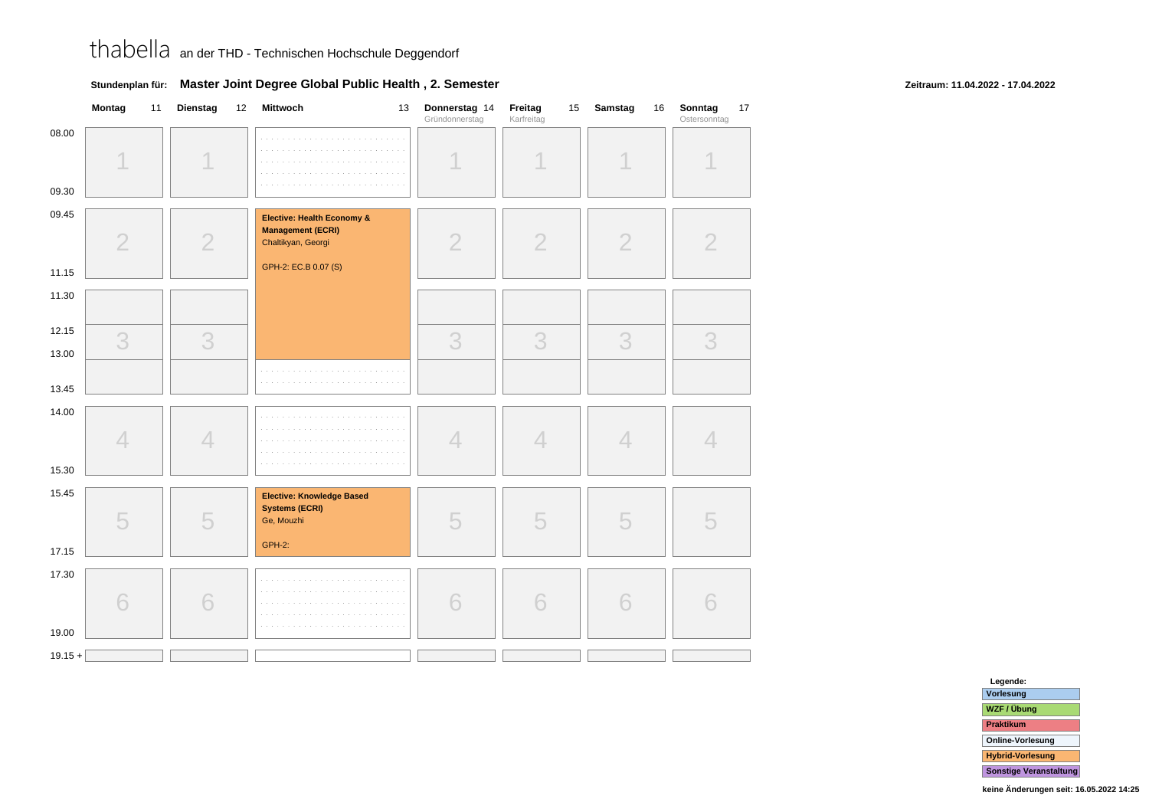|                | Montag<br>11   | Dienstag<br>12 | <b>Mittwoch</b><br>13                                                                                | Donnerstag 14<br>Gründonnerstag | Freitag<br>15<br>Karfreitag | Samstag<br>16  | Sonntag<br>17<br>Ostersonntag |
|----------------|----------------|----------------|------------------------------------------------------------------------------------------------------|---------------------------------|-----------------------------|----------------|-------------------------------|
| 08.00<br>09.30 |                |                |                                                                                                      |                                 |                             |                |                               |
| 09.45<br>11.15 | $\overline{2}$ | $\overline{2}$ | Elective: Health Economy &<br><b>Management (ECRI)</b><br>Chaltikyan, Georgi<br>GPH-2: EC.B 0.07 (S) | $\overline{2}$                  | $\overline{2}$              | $\overline{2}$ | $\overline{2}$                |
| 11.30          |                |                |                                                                                                      |                                 |                             |                |                               |
| 12.15<br>13.00 | 3              | 3              |                                                                                                      | 3                               | 3                           | 3              | 3                             |
| 13.45          |                |                |                                                                                                      |                                 |                             |                |                               |
| 14.00<br>15.30 | 4              | 4              |                                                                                                      | 4                               | 4                           | $\overline{4}$ | 4                             |
| 15.45<br>17.15 | 5              | 5              | Elective: Knowledge Based<br><b>Systems (ECRI)</b><br>Ge, Mouzhi<br><b>GPH-2:</b>                    | 5                               | 5                           | 5              | 5                             |
| 17.30<br>19.00 | 6              | 6              | .                                                                                                    | 6                               | 6                           | 6              | 6                             |
| $19.15 +$      |                |                |                                                                                                      |                                 |                             |                |                               |

### **Stundenplan für: Master Joint Degree Global Public Health , 2. Semester**

### **Zeitraum: 11.04.2022 - 17.04.2022**

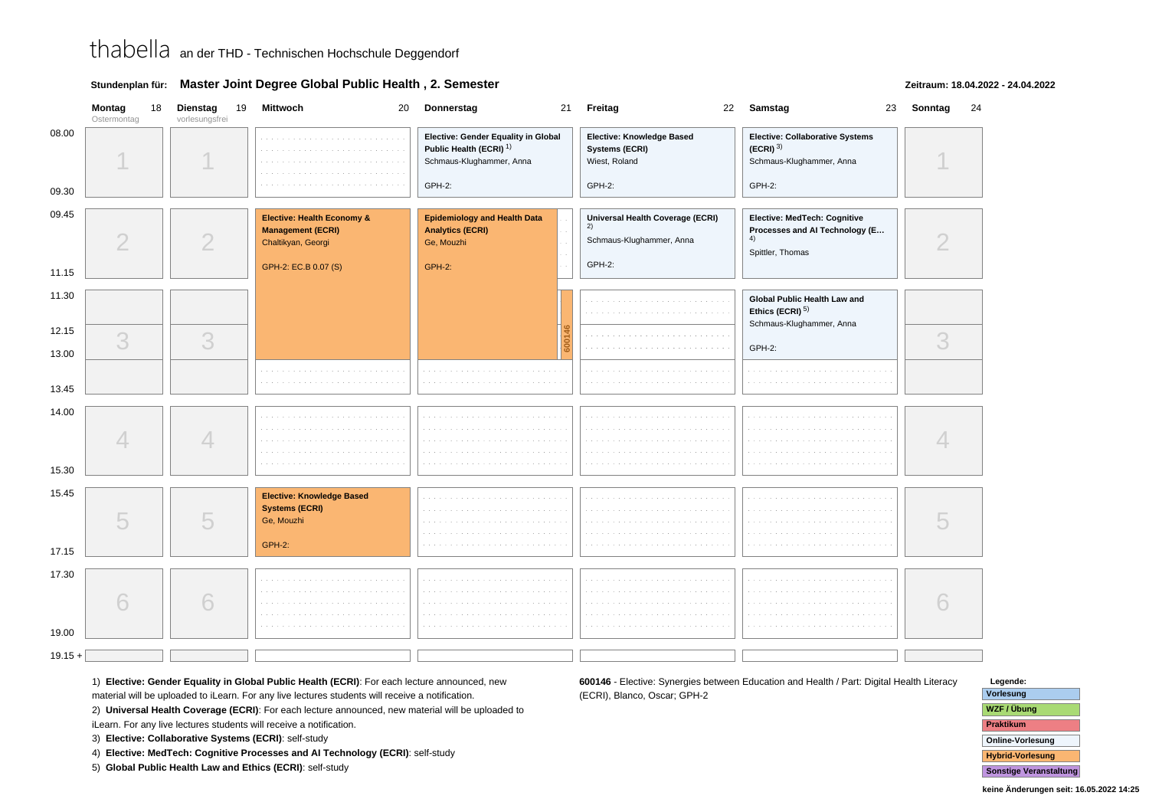|  | Stundenplan für: Master Joint Degree Global Public Health, 2. Semester |
|--|------------------------------------------------------------------------|
|--|------------------------------------------------------------------------|

### **Zeitraum: 18.04.2022 - 24.04.2022**

|                | <b>Montag</b><br>Ostermontag | 18 | Dienstag<br>19<br>vorlesungsfrei | <b>Mittwoch</b>                                                                          | 20 Donnerstag                                                                                         | 21 Freitag                                                                   | 22 Samstag                                                                               | 23 Sonntag<br>24 |
|----------------|------------------------------|----|----------------------------------|------------------------------------------------------------------------------------------|-------------------------------------------------------------------------------------------------------|------------------------------------------------------------------------------|------------------------------------------------------------------------------------------|------------------|
| 08.00          |                              |    |                                  |                                                                                          | Elective: Gender Equality in Global<br>Public Health (ECRI) <sup>1)</sup><br>Schmaus-Klughammer, Anna | Elective: Knowledge Based<br>Systems (ECRI)<br>Wiest, Roland                 | Elective: Collaborative Systems<br>$(ECRI)$ <sup>3)</sup><br>Schmaus-Klughammer, Anna    |                  |
| 09.30          |                              |    |                                  |                                                                                          | GPH-2:                                                                                                | GPH-2:                                                                       | GPH-2:                                                                                   |                  |
| 09.45          | $\overline{2}$               |    | $\overline{2}$                   | Elective: Health Economy &<br><b>Management (ECRI)</b><br>Chaltikyan, Georgi             | <b>Epidemiology and Health Data</b><br><b>Analytics (ECRI)</b><br>Ge, Mouzhi                          | Universal Health Coverage (ECRI)<br>2)<br>Schmaus-Klughammer, Anna<br>GPH-2: | Elective: MedTech: Cognitive<br>Processes and Al Technology (E<br>4)<br>Spittler, Thomas |                  |
| 11.15          |                              |    |                                  | GPH-2: EC.B 0.07 (S)                                                                     | <b>GPH-2:</b>                                                                                         |                                                                              |                                                                                          |                  |
| 11.30          |                              |    |                                  |                                                                                          |                                                                                                       |                                                                              | Global Public Health Law and<br>Ethics (ECRI) <sup>5)</sup><br>Schmaus-Klughammer, Anna  |                  |
| 12.15          | 3                            |    | 3                                |                                                                                          |                                                                                                       |                                                                              |                                                                                          | 3                |
| 13.00          |                              |    |                                  |                                                                                          |                                                                                                       |                                                                              | GPH-2:                                                                                   |                  |
| 13.45          |                              |    |                                  |                                                                                          | The Committee of                                                                                      |                                                                              |                                                                                          |                  |
| 14.00<br>15.30 |                              |    | $\overline{\mathcal{A}}$         |                                                                                          | <b>College</b>                                                                                        | a car<br>and a state                                                         |                                                                                          |                  |
|                |                              |    |                                  |                                                                                          |                                                                                                       |                                                                              |                                                                                          |                  |
| 15.45<br>17.15 | 5                            |    | 5                                | <b>Elective: Knowledge Based</b><br><b>Systems (ECRI)</b><br>Ge, Mouzhi<br><b>GPH-2:</b> |                                                                                                       |                                                                              |                                                                                          |                  |
|                |                              |    |                                  |                                                                                          |                                                                                                       |                                                                              |                                                                                          |                  |
| 17.30<br>19.00 | 6                            |    | 6                                |                                                                                          |                                                                                                       |                                                                              |                                                                                          |                  |
|                |                              |    |                                  |                                                                                          |                                                                                                       |                                                                              |                                                                                          |                  |
| $19.15 +$      |                              |    |                                  |                                                                                          |                                                                                                       |                                                                              |                                                                                          |                  |

1) **Elective: Gender Equality in Global Public Health (ECRI)**: For each lecture announced, new

material will be uploaded to iLearn. For any live lectures students will receive a notification.

2) **Universal Health Coverage (ECRI)**: For each lecture announced, new material will be uploaded to

iLearn. For any live lectures students will receive a notification.

3) **Elective: Collaborative Systems (ECRI)**: self-study

4) **Elective: MedTech: Cognitive Processes and AI Technology (ECRI)**: self-study

5) **Global Public Health Law and Ethics (ECRI)**: self-study

**600146** - Elective: Synergies between Education and Health / Part: Digital Health Literacy(ECRI), Blanco, Oscar; GPH-2

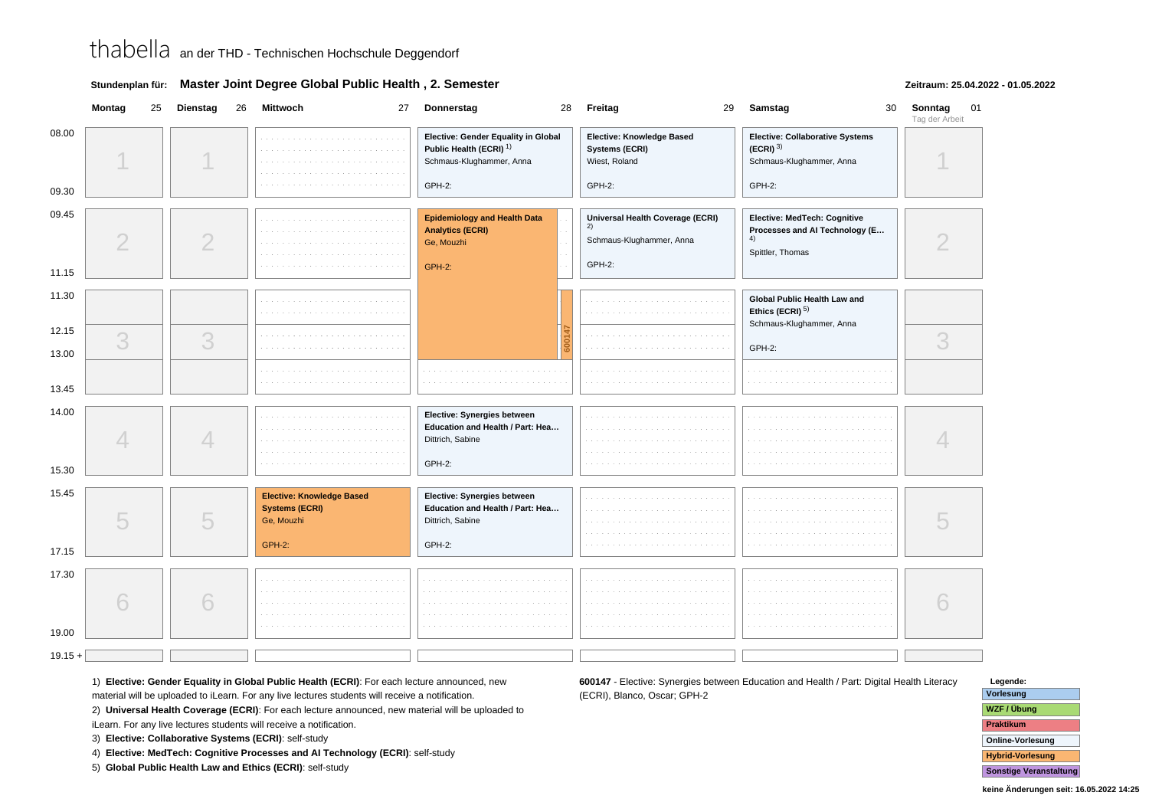|  | Stundenplan für: Master Joint Degree Global Public Health, 2. Semester |
|--|------------------------------------------------------------------------|
|--|------------------------------------------------------------------------|

### **Zeitraum: 25.04.2022 - 01.05.2022**

|                | Montag         | 25 Dienstag    | 26 | <b>Mittwoch</b>                                                         | 27 Donnerstag                                                                                         | 28 Freitag                                                                   | 29 Samstag                                                                               | 30 <sup>°</sup> | Sonntag<br>Tag der Arbeit | 01 |
|----------------|----------------|----------------|----|-------------------------------------------------------------------------|-------------------------------------------------------------------------------------------------------|------------------------------------------------------------------------------|------------------------------------------------------------------------------------------|-----------------|---------------------------|----|
| 08.00          |                |                |    |                                                                         | Elective: Gender Equality in Global<br>Public Health (ECRI) <sup>1)</sup><br>Schmaus-Klughammer, Anna | Elective: Knowledge Based<br>Systems (ECRI)<br>Wiest, Roland                 | Elective: Collaborative Systems<br>$(ECRI)^{3}$<br>Schmaus-Klughammer, Anna              |                 |                           |    |
| 09.30          |                |                |    |                                                                         | GPH-2:                                                                                                | GPH-2:                                                                       | GPH-2:                                                                                   |                 |                           |    |
| 09.45<br>11.15 | $\overline{2}$ | $\overline{2}$ |    |                                                                         | <b>Epidemiology and Health Data</b><br><b>Analytics (ECRI)</b><br>Ge, Mouzhi<br><b>GPH-2:</b>         | Universal Health Coverage (ECRI)<br>2)<br>Schmaus-Klughammer, Anna<br>GPH-2: | Elective: MedTech: Cognitive<br>Processes and Al Technology (E<br>4)<br>Spittler, Thomas |                 |                           |    |
| 11.30          |                |                |    |                                                                         |                                                                                                       |                                                                              | Global Public Health Law and<br>Ethics (ECRI) <sup>5)</sup><br>Schmaus-Klughammer, Anna  |                 |                           |    |
| 12.15<br>13.00 | 3              | 3              |    | <b>Contract</b>                                                         |                                                                                                       |                                                                              | GPH-2:                                                                                   |                 | 3                         |    |
| 13.45          |                |                |    |                                                                         |                                                                                                       |                                                                              |                                                                                          |                 |                           |    |
| 14.00          |                | 4              |    |                                                                         | Elective: Synergies between<br>Education and Health / Part: Hea<br>Dittrich, Sabine<br>GPH-2:         |                                                                              |                                                                                          |                 |                           |    |
| 15.30          |                |                |    |                                                                         |                                                                                                       |                                                                              |                                                                                          |                 |                           |    |
| 15.45          | 5              | 5              |    | <b>Elective: Knowledge Based</b><br><b>Systems (ECRI)</b><br>Ge, Mouzhi | Elective: Synergies between<br>Education and Health / Part: Hea<br>Dittrich, Sabine                   |                                                                              |                                                                                          |                 |                           |    |
| 17.15          |                |                |    | <b>GPH-2:</b>                                                           | GPH-2:                                                                                                |                                                                              |                                                                                          |                 |                           |    |
| 17.30<br>19.00 | 6              | 6              |    |                                                                         |                                                                                                       |                                                                              |                                                                                          |                 |                           |    |
| $19.15 +$      |                |                |    |                                                                         |                                                                                                       |                                                                              |                                                                                          |                 |                           |    |

1) **Elective: Gender Equality in Global Public Health (ECRI)**: For each lecture announced, new

material will be uploaded to iLearn. For any live lectures students will receive a notification.

2) **Universal Health Coverage (ECRI)**: For each lecture announced, new material will be uploaded to

iLearn. For any live lectures students will receive a notification.

3) **Elective: Collaborative Systems (ECRI)**: self-study

4) **Elective: MedTech: Cognitive Processes and AI Technology (ECRI)**: self-study

5) **Global Public Health Law and Ethics (ECRI)**: self-study

**600147** - Elective: Synergies between Education and Health / Part: Digital Health Literacy(ECRI), Blanco, Oscar; GPH-2

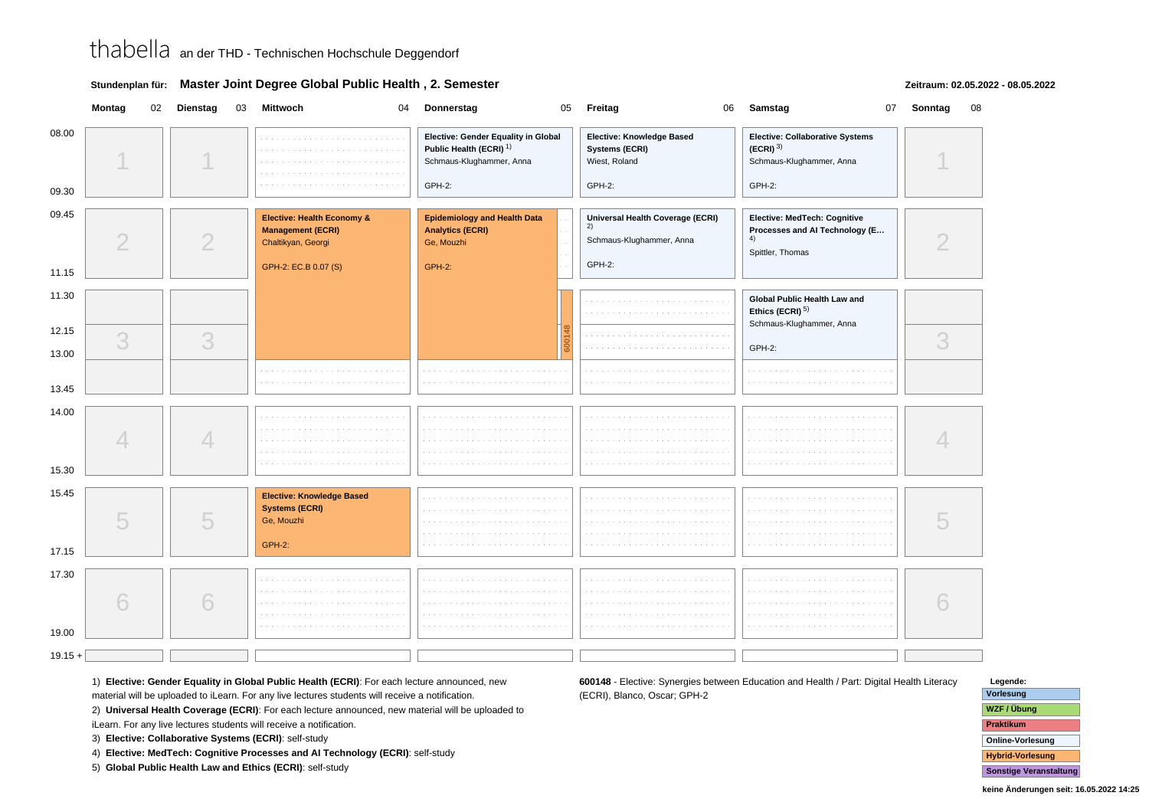|  | Stundenplan für: Master Joint Degree Global Public Health, 2. Semester |
|--|------------------------------------------------------------------------|
|--|------------------------------------------------------------------------|

### **Zeitraum: 02.05.2022 - 08.05.2022**

|                | Montag         | 02 Dienstag | 03 | Mittwoch<br>04                                                                           | Donnerstag<br>05                                                                                                | Freitag<br>06                                                          | Samstag                                                                                         | 07 Sonntag | 08 |
|----------------|----------------|-------------|----|------------------------------------------------------------------------------------------|-----------------------------------------------------------------------------------------------------------------|------------------------------------------------------------------------|-------------------------------------------------------------------------------------------------|------------|----|
| 08.00<br>09.30 |                |             |    | a dia kaominina mpikambana<br>.                                                          | Elective: Gender Equality in Global<br>Public Health (ECRI) <sup>1)</sup><br>Schmaus-Klughammer, Anna<br>GPH-2: | Elective: Knowledge Based<br>Systems (ECRI)<br>Wiest, Roland<br>GPH-2: | Elective: Collaborative Systems<br>$(ECRI)$ <sup>3)</sup><br>Schmaus-Klughammer, Anna<br>GPH-2: |            |    |
|                |                |             |    |                                                                                          |                                                                                                                 |                                                                        |                                                                                                 |            |    |
| 09.45          | $\overline{2}$ | 2           |    | <b>Elective: Health Economy &amp;</b><br><b>Management (ECRI)</b><br>Chaltikyan, Georgi  | <b>Epidemiology and Health Data</b><br><b>Analytics (ECRI)</b><br>Ge, Mouzhi                                    | Universal Health Coverage (ECRI)<br>2)<br>Schmaus-Klughammer, Anna     | Elective: MedTech: Cognitive<br>Processes and Al Technology (E<br>4)<br>Spittler, Thomas        |            |    |
| 11.15          |                |             |    | GPH-2: EC.B 0.07 (S)                                                                     | <b>GPH-2:</b>                                                                                                   | GPH-2:                                                                 |                                                                                                 |            |    |
| 11.30          |                |             |    |                                                                                          |                                                                                                                 |                                                                        | Global Public Health Law and<br>Ethics (ECRI) <sup>5)</sup><br>Schmaus-Klughammer, Anna         |            |    |
| 12.15          | 3              | 3           |    |                                                                                          |                                                                                                                 |                                                                        |                                                                                                 | 3          |    |
| 13.00          |                |             |    |                                                                                          |                                                                                                                 |                                                                        | GPH-2:                                                                                          |            |    |
| 13.45          |                |             |    |                                                                                          |                                                                                                                 |                                                                        |                                                                                                 |            |    |
| 14.00<br>15.30 |                | 4           |    |                                                                                          |                                                                                                                 |                                                                        |                                                                                                 |            |    |
| 15.45<br>17.15 | 5              | 5           |    | <b>Elective: Knowledge Based</b><br><b>Systems (ECRI)</b><br>Ge, Mouzhi<br><b>GPH-2:</b> |                                                                                                                 |                                                                        |                                                                                                 |            |    |
| 17.30<br>19.00 | 6              | 6           |    |                                                                                          |                                                                                                                 |                                                                        |                                                                                                 |            |    |
| $19.15 +$      |                |             |    |                                                                                          |                                                                                                                 |                                                                        |                                                                                                 |            |    |
|                |                |             |    |                                                                                          |                                                                                                                 |                                                                        |                                                                                                 |            |    |

1) **Elective: Gender Equality in Global Public Health (ECRI)**: For each lecture announced, new

material will be uploaded to iLearn. For any live lectures students will receive a notification.

2) **Universal Health Coverage (ECRI)**: For each lecture announced, new material will be uploaded to

iLearn. For any live lectures students will receive a notification.

3) **Elective: Collaborative Systems (ECRI)**: self-study

4) **Elective: MedTech: Cognitive Processes and AI Technology (ECRI)**: self-study

5) **Global Public Health Law and Ethics (ECRI)**: self-study

**600148** - Elective: Synergies between Education and Health / Part: Digital Health Literacy(ECRI), Blanco, Oscar; GPH-2

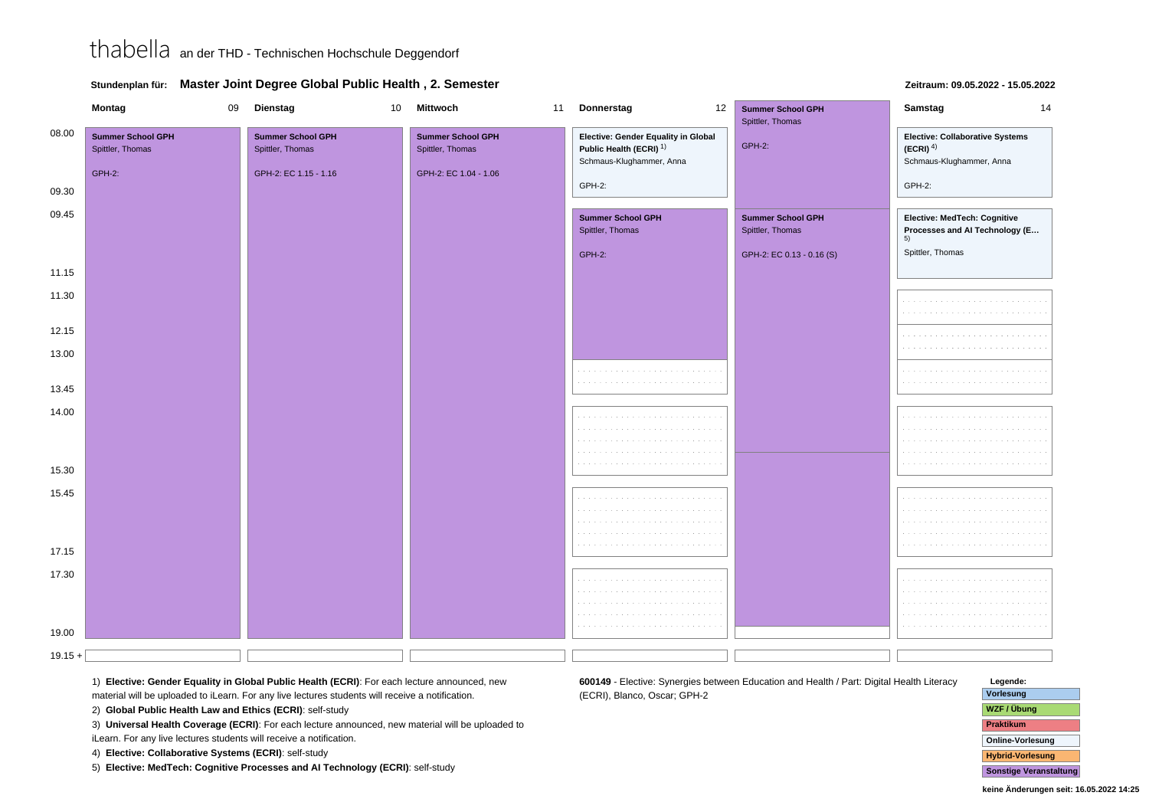|  | Stundenplan für: Master Joint Degree Global Public Health, 2. Semester |
|--|------------------------------------------------------------------------|
|--|------------------------------------------------------------------------|

| Montag    |                                                        | 09 | Dienstag                                                              | 10 | Mittwoch                                                              | 11 Donnerstag<br>12                                                                                   | <b>Summer School GPH</b><br>Spittler, Thomas | Samstag<br>14                                                                |  |  |
|-----------|--------------------------------------------------------|----|-----------------------------------------------------------------------|----|-----------------------------------------------------------------------|-------------------------------------------------------------------------------------------------------|----------------------------------------------|------------------------------------------------------------------------------|--|--|
| 08.00     | <b>Summer School GPH</b><br>Spittler, Thomas<br>GPH-2: |    | <b>Summer School GPH</b><br>Spittler, Thomas<br>GPH-2: EC 1.15 - 1.16 |    | <b>Summer School GPH</b><br>Spittler, Thomas<br>GPH-2: EC 1.04 - 1.06 | Elective: Gender Equality in Global<br>Public Health (ECRI) <sup>1)</sup><br>Schmaus-Klughammer, Anna | <b>GPH-2:</b>                                | Elective: Collaborative Systems<br>$(ECRI)^{4)}$<br>Schmaus-Klughammer, Anna |  |  |
| 09.30     |                                                        |    |                                                                       |    |                                                                       | GPH-2:                                                                                                |                                              | GPH-2:                                                                       |  |  |
| 09.45     |                                                        |    |                                                                       |    |                                                                       |                                                                                                       |                                              |                                                                              |  |  |
|           |                                                        |    |                                                                       |    |                                                                       | <b>Summer School GPH</b><br>Spittler, Thomas                                                          | <b>Summer School GPH</b><br>Spittler, Thomas | Elective: MedTech: Cognitive<br>Processes and Al Technology (E<br>5)         |  |  |
|           |                                                        |    |                                                                       |    |                                                                       | GPH-2:                                                                                                | GPH-2: EC 0.13 - 0.16 (S)                    | Spittler, Thomas                                                             |  |  |
| 11.15     |                                                        |    |                                                                       |    |                                                                       |                                                                                                       |                                              |                                                                              |  |  |
| 11.30     |                                                        |    |                                                                       |    |                                                                       |                                                                                                       |                                              |                                                                              |  |  |
| 12.15     |                                                        |    |                                                                       |    |                                                                       |                                                                                                       |                                              |                                                                              |  |  |
| 13.00     |                                                        |    |                                                                       |    |                                                                       |                                                                                                       |                                              |                                                                              |  |  |
| 13.45     |                                                        |    |                                                                       |    |                                                                       |                                                                                                       |                                              |                                                                              |  |  |
| 14.00     |                                                        |    |                                                                       |    |                                                                       |                                                                                                       |                                              |                                                                              |  |  |
| 15.30     |                                                        |    |                                                                       |    |                                                                       |                                                                                                       |                                              |                                                                              |  |  |
| 15.45     |                                                        |    |                                                                       |    |                                                                       |                                                                                                       |                                              |                                                                              |  |  |
|           |                                                        |    |                                                                       |    |                                                                       |                                                                                                       |                                              |                                                                              |  |  |
| 17.15     |                                                        |    |                                                                       |    |                                                                       |                                                                                                       |                                              |                                                                              |  |  |
| 17.30     |                                                        |    |                                                                       |    |                                                                       |                                                                                                       |                                              |                                                                              |  |  |
| 19.00     |                                                        |    |                                                                       |    |                                                                       |                                                                                                       |                                              |                                                                              |  |  |
| $19.15 +$ |                                                        |    |                                                                       |    |                                                                       |                                                                                                       |                                              |                                                                              |  |  |

**Zeitraum: 09.05.2022 - 15.05.2022**

1) **Elective: Gender Equality in Global Public Health (ECRI)**: For each lecture announced, new

material will be uploaded to iLearn. For any live lectures students will receive a notification.

2) **Global Public Health Law and Ethics (ECRI)**: self-study

3) **Universal Health Coverage (ECRI)**: For each lecture announced, new material will be uploaded to

iLearn. For any live lectures students will receive a notification.

4) **Elective: Collaborative Systems (ECRI)**: self-study

5) **Elective: MedTech: Cognitive Processes and AI Technology (ECRI)**: self-study

**Legende: Vorlesung**

**600149** - Elective: Synergies between Education and Health / Part: Digital Health Literacy

(ECRI), Blanco, Oscar; GPH-2

 **WZF / ÜbungPraktikum Online-VorlesungHybrid-Vorlesung**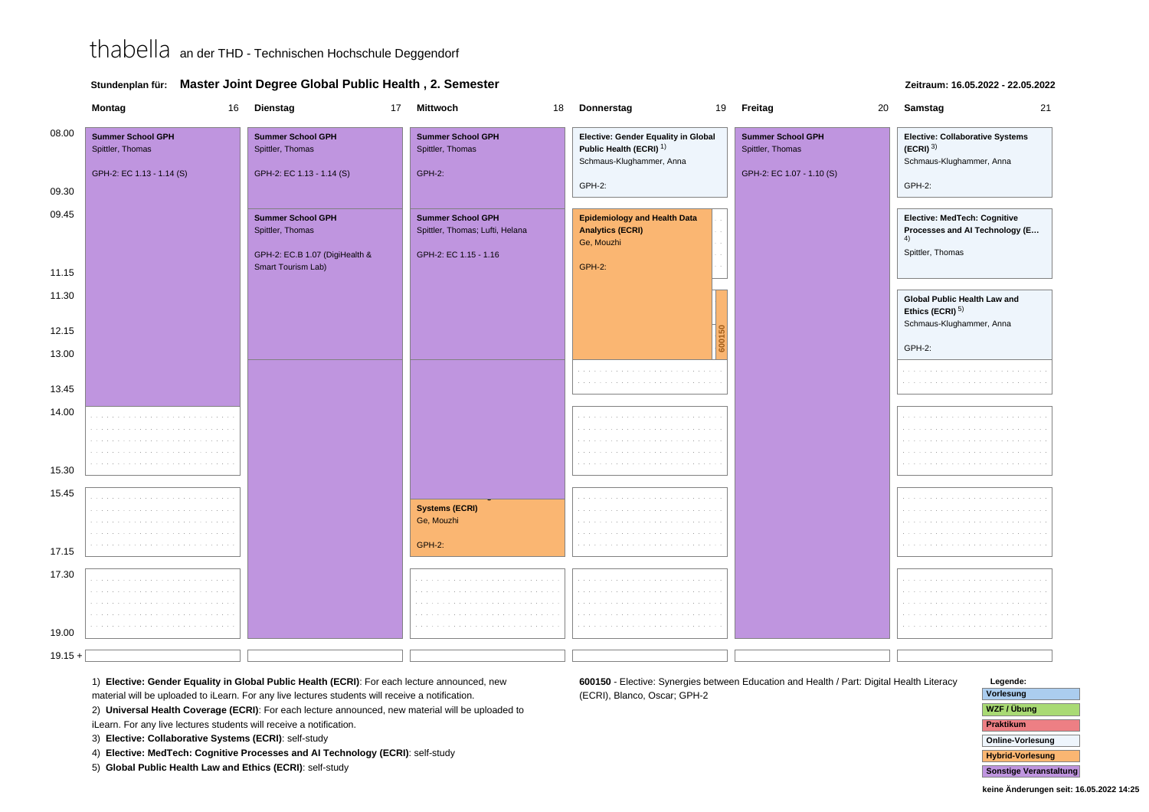|  | Stundenplan für: Master Joint Degree Global Public Health, 2. Semester |
|--|------------------------------------------------------------------------|
|--|------------------------------------------------------------------------|

#### **Montag** <sup>16</sup> **Dienstag** <sup>17</sup> **Mittwoch** <sup>18</sup> **Donnerstag** <sup>19</sup> **Freitag** <sup>20</sup> **Samstag** <sup>21</sup> 08.00**Summer School GPHSummer School GPHSummer School GPHElective: Gender Equality in GlobalElective: Collaborative SystemsElective: Knowledge BasedSummer School GPH**Spittler, Thomas Spittler, Thomas Spittler, Thomas **Public Health (ECRI)** 1) **(ECRI)** 3) Spittler, Thomas Schmaus-Klughammer, AnnaSchmaus-Klughammer, AnnaGPH-2: EC 1.13 - 1.14 (S)GPH-2: EC 1.13 - 1.14 (S)GPH-2: GPH-2: EC 1.07 - 1.10 (S)GPH-2:GPH-2:09.3009.45**Epidemiology and Health DataSummer School GPHElective: MedTech: CognitiveElective: Health Economy &Summer School GPH**Spittler, Thomas**Analytics (ECRI) Processes and AI Technology (E…**Spittler, Thomas; Lufti, Helana Ge, Mouzhi4)Spittler, ThomasGPH-2: EC.B 1.07 (DigiHealth & GPH-2: EC 1.15 - 1.16Smart Tourism Lab)GPH-2:11.1511.30**Global Public Health Law andEthics (ECRI)** 5) Schmaus-Klughammer, Anna12.15**600150** GPH-2:13.0013.4514.0015.3015.45**Elective: Knowledge BasedSystems (ECRI)**Ge, MouzhiGPH-2:17.1517.30in a 19.00

(ECRI), Blanco, Oscar; GPH-2

 $19.15 +$ 

1) **Elective: Gender Equality in Global Public Health (ECRI)**: For each lecture announced, new

material will be uploaded to iLearn. For any live lectures students will receive a notification.

2) **Universal Health Coverage (ECRI)**: For each lecture announced, new material will be uploaded to

iLearn. For any live lectures students will receive a notification.

3) **Elective: Collaborative Systems (ECRI)**: self-study

4) **Elective: MedTech: Cognitive Processes and AI Technology (ECRI)**: self-study

5) **Global Public Health Law and Ethics (ECRI)**: self-study



 **Vorlesung WZF / ÜbungPraktikum Online-Vorlesung600150** - Elective: Synergies between Education and Health / Part: Digital Health Literacy

**Hybrid-VorlesungSonstige Veranstaltung**

**Legende:**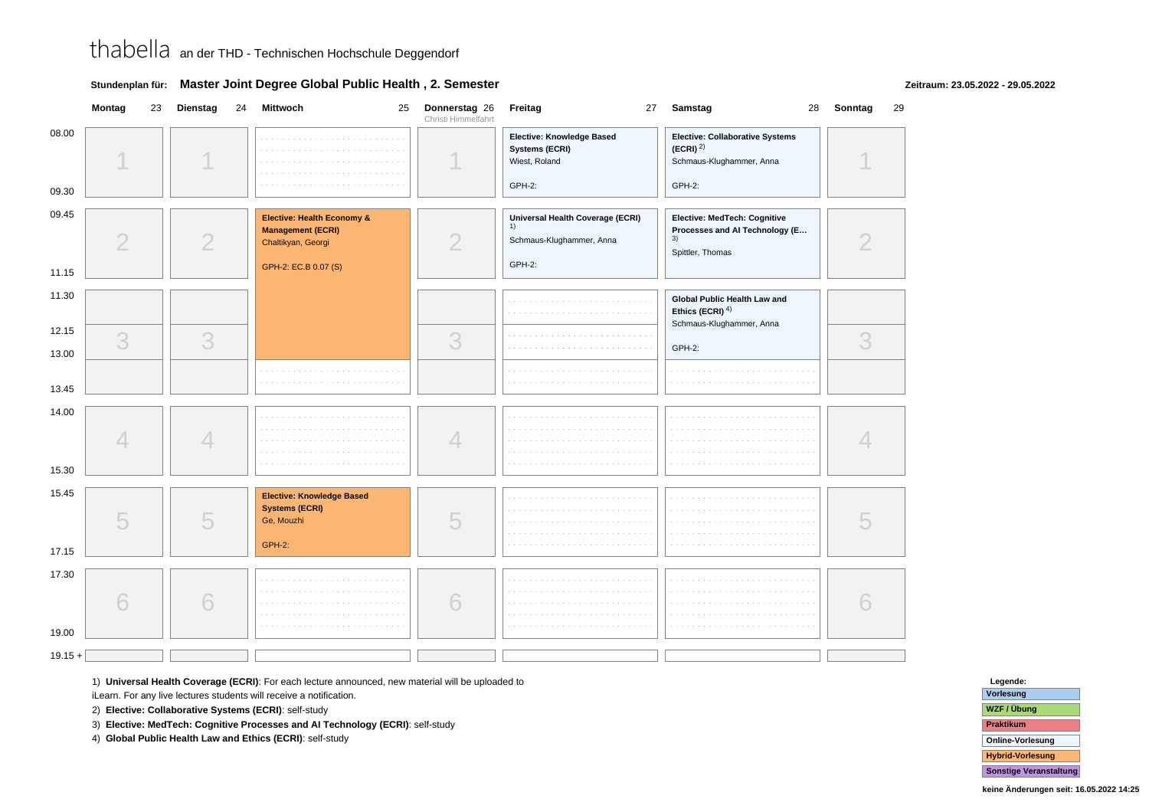| Elective: Collaborative Systems<br>Elective: Knowledge Based<br>contractors and<br>and the state of the state of<br>(ECRI) <sup>2</sup><br>Systems (ECRI)<br>Wiest, Roland<br>Schmaus-Klughammer, Anna<br>GPH-2:<br>GPH-2:<br>Elective: Health Economy &<br>Universal Health Coverage (ECRI)<br>Elective: MedTech: Cognitive<br>1)<br><b>Management (ECRI)</b><br>Processes and Al Technology (E<br>3)<br>$\overline{2}$<br>$\overline{2}$<br>$\overline{2}$<br>Schmaus-Klughammer, Anna<br>Chaltikyan, Georgi<br>Spittler, Thomas<br>GPH-2:<br>GPH-2: EC.B 0.07 (S)<br>Global Public Health Law and<br>Ethics (ECRI) $4$ )<br>Schmaus-Klughammer, Anna<br>3<br>3<br>3<br>3<br>GPH-2:<br>.<br>4<br>4<br>4<br>15.30<br>15.45<br><b>Elective: Knowledge Based</b><br>a sa sala<br>and a state<br>and and<br><b>Systems (ECRI)</b><br>5<br>5<br>5<br>Ge, Mouzhi<br><b>GPH-2:</b><br>17.15<br>17.30<br>6<br>6<br>6<br>. |                | Montag | 23 | <b>Dienstag</b> | 24 | Mittwoch<br>25 | Donnerstag 26<br>Christi Himmelfahrt | Freitag<br>27 | Samstag<br>28 | 29<br>Sonntag |
|---------------------------------------------------------------------------------------------------------------------------------------------------------------------------------------------------------------------------------------------------------------------------------------------------------------------------------------------------------------------------------------------------------------------------------------------------------------------------------------------------------------------------------------------------------------------------------------------------------------------------------------------------------------------------------------------------------------------------------------------------------------------------------------------------------------------------------------------------------------------------------------------------------------------|----------------|--------|----|-----------------|----|----------------|--------------------------------------|---------------|---------------|---------------|
|                                                                                                                                                                                                                                                                                                                                                                                                                                                                                                                                                                                                                                                                                                                                                                                                                                                                                                                     | 08.00          |        |    |                 |    |                |                                      |               |               |               |
|                                                                                                                                                                                                                                                                                                                                                                                                                                                                                                                                                                                                                                                                                                                                                                                                                                                                                                                     | 09.30          |        |    |                 |    |                |                                      |               |               |               |
|                                                                                                                                                                                                                                                                                                                                                                                                                                                                                                                                                                                                                                                                                                                                                                                                                                                                                                                     | 09.45          |        |    |                 |    |                |                                      |               |               |               |
|                                                                                                                                                                                                                                                                                                                                                                                                                                                                                                                                                                                                                                                                                                                                                                                                                                                                                                                     | 11.15          |        |    |                 |    |                |                                      |               |               |               |
|                                                                                                                                                                                                                                                                                                                                                                                                                                                                                                                                                                                                                                                                                                                                                                                                                                                                                                                     | 11.30          |        |    |                 |    |                |                                      |               |               |               |
|                                                                                                                                                                                                                                                                                                                                                                                                                                                                                                                                                                                                                                                                                                                                                                                                                                                                                                                     | 12.15<br>13.00 |        |    |                 |    |                |                                      |               |               |               |
|                                                                                                                                                                                                                                                                                                                                                                                                                                                                                                                                                                                                                                                                                                                                                                                                                                                                                                                     | 13.45          |        |    |                 |    |                |                                      |               |               |               |
|                                                                                                                                                                                                                                                                                                                                                                                                                                                                                                                                                                                                                                                                                                                                                                                                                                                                                                                     | 14.00          |        |    |                 |    |                |                                      |               |               |               |
|                                                                                                                                                                                                                                                                                                                                                                                                                                                                                                                                                                                                                                                                                                                                                                                                                                                                                                                     |                |        |    |                 |    |                |                                      |               |               |               |
|                                                                                                                                                                                                                                                                                                                                                                                                                                                                                                                                                                                                                                                                                                                                                                                                                                                                                                                     |                |        |    |                 |    |                |                                      |               |               |               |
|                                                                                                                                                                                                                                                                                                                                                                                                                                                                                                                                                                                                                                                                                                                                                                                                                                                                                                                     |                |        |    |                 |    |                |                                      |               |               |               |
|                                                                                                                                                                                                                                                                                                                                                                                                                                                                                                                                                                                                                                                                                                                                                                                                                                                                                                                     | 19.00          |        |    |                 |    |                |                                      |               |               |               |
|                                                                                                                                                                                                                                                                                                                                                                                                                                                                                                                                                                                                                                                                                                                                                                                                                                                                                                                     | $19.15 +$      |        |    |                 |    |                |                                      |               |               |               |

### **Stundenplan für: Master Joint Degree Global Public Health , 2. Semester**

### **Zeitraum: 23.05.2022 - 29.05.2022**

1) **Universal Health Coverage (ECRI)**: For each lecture announced, new material will be uploaded to

iLearn. For any live lectures students will receive a notification.

2) **Elective: Collaborative Systems (ECRI)**: self-study

3) **Elective: MedTech: Cognitive Processes and AI Technology (ECRI)**: self-study

4) **Global Public Health Law and Ethics (ECRI)**: self-study

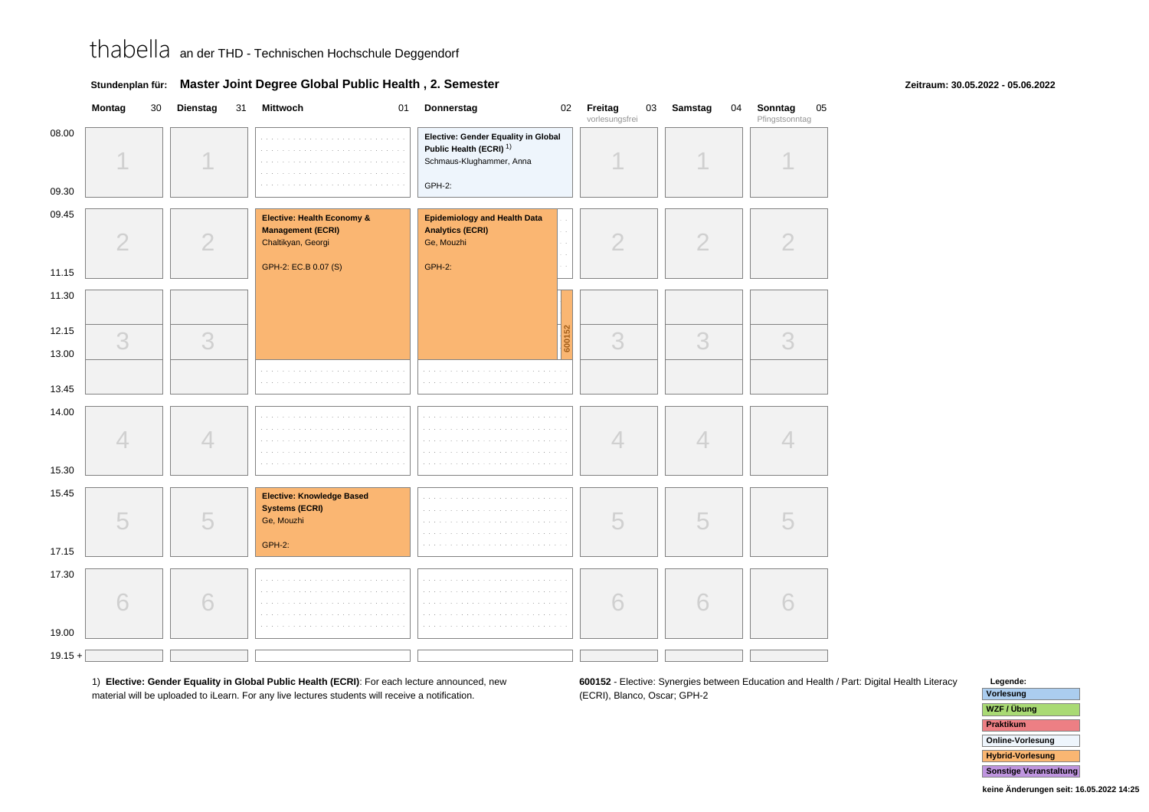|  | Stundenplan für: Master Joint Degree Global Public Health, 2. Semester |
|--|------------------------------------------------------------------------|
|--|------------------------------------------------------------------------|

### **Zeitraum: 30.05.2022 - 05.06.2022**

|                | Montag<br>30   | <b>Dienstag</b><br>31 | Mittwoch<br>01                                                                                       | <b>Donnerstag</b>                                                                                               | 02     | Freitag<br>03<br>vorlesungsfrei | Samstag<br>04  | Sonntag<br>05<br>Pfingstsonntag |
|----------------|----------------|-----------------------|------------------------------------------------------------------------------------------------------|-----------------------------------------------------------------------------------------------------------------|--------|---------------------------------|----------------|---------------------------------|
| 08.00<br>09.30 | A              |                       | and a straight<br>a sa sa<br>$\sim$                                                                  | Elective: Gender Equality in Global<br>Public Health (ECRI) <sup>1)</sup><br>Schmaus-Klughammer, Anna<br>GPH-2: |        |                                 |                |                                 |
| 09.45<br>11.15 | $\overline{2}$ | $\overline{2}$        | Elective: Health Economy &<br><b>Management (ECRI)</b><br>Chaltikyan, Georgi<br>GPH-2: EC.B 0.07 (S) | <b>Epidemiology and Health Data</b><br><b>Analytics (ECRI)</b><br>Ge, Mouzhi<br><b>GPH-2:</b>                   |        | $\overline{2}$                  | $\overline{2}$ | $\overline{2}$                  |
| 11.30          |                |                       |                                                                                                      |                                                                                                                 |        |                                 |                |                                 |
| 12.15<br>13.00 | 3              | 3                     |                                                                                                      |                                                                                                                 | 600152 | 3                               | 3              | 3                               |
| 13.45          |                |                       |                                                                                                      | and a<br>and a                                                                                                  |        |                                 |                |                                 |
| 14.00<br>15.30 | 4              | 4                     | <b>Service</b><br>in a                                                                               | $\sim$<br>a sala                                                                                                |        | 4                               | 4              | 4                               |
| 15.45<br>17.15 | 5              | 5                     | <b>Elective: Knowledge Based</b><br><b>Systems (ECRI)</b><br>Ge, Mouzhi<br>GPH-2:                    |                                                                                                                 |        | 5                               | 5              | 5                               |
| 17.30<br>19.00 | 6              | 6                     |                                                                                                      | $\mathcal{L}^{\mathcal{L}}$<br>and a<br>$\mathcal{L}^{\pm}$<br>a sa                                             |        | 6                               | 6              | 6                               |
| $19.15 +$      |                |                       |                                                                                                      |                                                                                                                 |        |                                 |                |                                 |

1) **Elective: Gender Equality in Global Public Health (ECRI)**: For each lecture announced, newmaterial will be uploaded to iLearn. For any live lectures students will receive a notification.

**600152** - Elective: Synergies between Education and Health / Part: Digital Health Literacy(ECRI), Blanco, Oscar; GPH-2

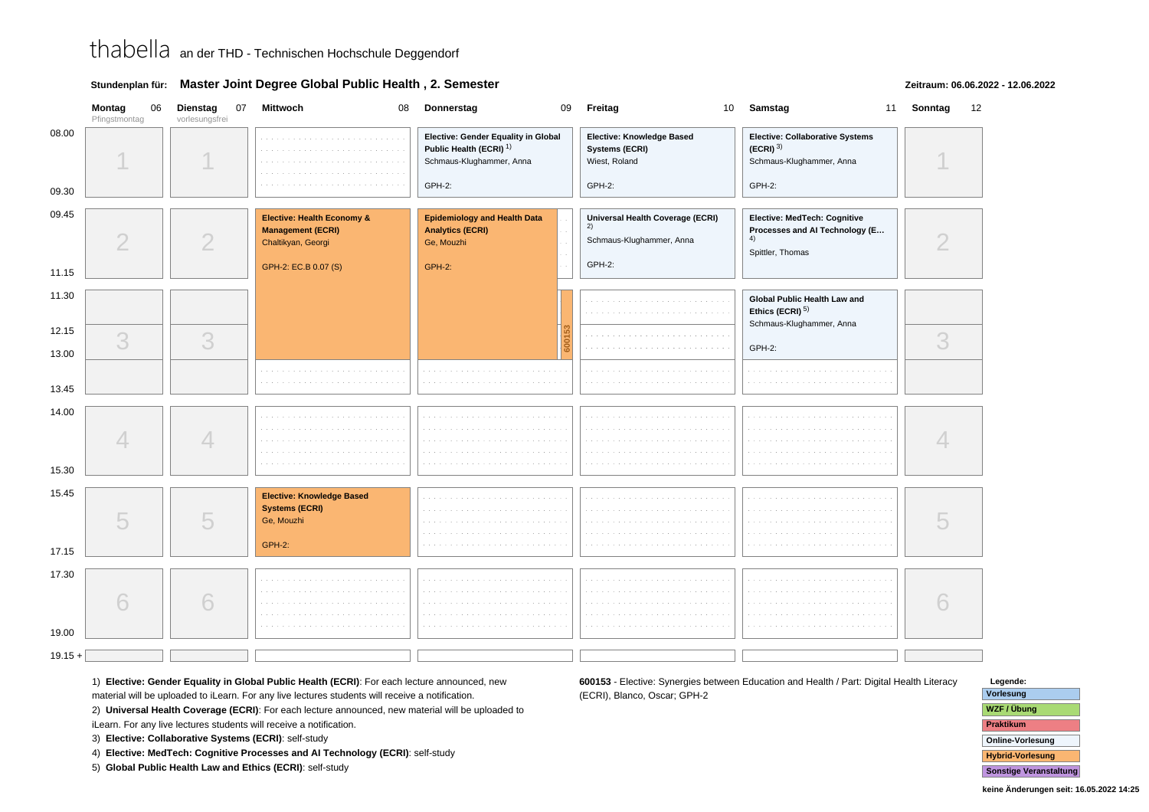|  | Stundenplan für: Master Joint Degree Global Public Health, 2. Semester |
|--|------------------------------------------------------------------------|
|--|------------------------------------------------------------------------|

### **Zeitraum: 06.06.2022 - 12.06.2022**

|                | Montag<br>06<br>Pfingstmontag | Dienstag<br>vorlesungsfrei | 07 Mittwoch<br>08                                                                        | Donnerstag                                                                                            | 09 Freitag                                                         | 10 Samstag                                                                               | 11 Sonntag<br>12 |
|----------------|-------------------------------|----------------------------|------------------------------------------------------------------------------------------|-------------------------------------------------------------------------------------------------------|--------------------------------------------------------------------|------------------------------------------------------------------------------------------|------------------|
| 08.00          |                               |                            |                                                                                          | Elective: Gender Equality in Global<br>Public Health (ECRI) <sup>1)</sup><br>Schmaus-Klughammer, Anna | Elective: Knowledge Based<br>Systems (ECRI)<br>Wiest, Roland       | Elective: Collaborative Systems<br>$(ECRI)$ <sup>3)</sup><br>Schmaus-Klughammer, Anna    |                  |
| 09.30          |                               |                            |                                                                                          | GPH-2:                                                                                                | GPH-2:                                                             | GPH-2:                                                                                   |                  |
| 09.45          | $\overline{2}$                | 2                          | Elective: Health Economy &<br><b>Management (ECRI)</b><br>Chaltikyan, Georgi             | <b>Epidemiology and Health Data</b><br><b>Analytics (ECRI)</b><br>Ge, Mouzhi                          | Universal Health Coverage (ECRI)<br>2)<br>Schmaus-Klughammer, Anna | Elective: MedTech: Cognitive<br>Processes and Al Technology (E<br>4)<br>Spittler, Thomas |                  |
| 11.15          |                               |                            | GPH-2: EC.B 0.07 (S)                                                                     | <b>GPH-2:</b>                                                                                         | GPH-2:                                                             |                                                                                          |                  |
| 11.30          |                               |                            |                                                                                          |                                                                                                       |                                                                    | Global Public Health Law and<br>Ethics (ECRI) <sup>5)</sup><br>Schmaus-Klughammer, Anna  |                  |
| 12.15          | 3                             | 3                          |                                                                                          |                                                                                                       |                                                                    |                                                                                          | 3                |
| 13.00          |                               |                            |                                                                                          |                                                                                                       |                                                                    | GPH-2:                                                                                   |                  |
| 13.45          |                               |                            |                                                                                          | The Committee of                                                                                      |                                                                    |                                                                                          |                  |
| 14.00          |                               | 4                          |                                                                                          | <b>College</b>                                                                                        | and a state<br>.                                                   |                                                                                          |                  |
| 15.30          |                               |                            |                                                                                          |                                                                                                       |                                                                    |                                                                                          |                  |
| 15.45          | 5                             | 5                          | <b>Elective: Knowledge Based</b><br><b>Systems (ECRI)</b><br>Ge, Mouzhi<br><b>GPH-2:</b> |                                                                                                       |                                                                    |                                                                                          |                  |
| 17.15          |                               |                            |                                                                                          |                                                                                                       |                                                                    |                                                                                          |                  |
| 17.30<br>19.00 | 6                             | 6                          |                                                                                          |                                                                                                       |                                                                    |                                                                                          |                  |
| $19.15 +$      |                               |                            |                                                                                          |                                                                                                       |                                                                    |                                                                                          |                  |
|                |                               |                            |                                                                                          |                                                                                                       |                                                                    |                                                                                          |                  |

1) **Elective: Gender Equality in Global Public Health (ECRI)**: For each lecture announced, new

material will be uploaded to iLearn. For any live lectures students will receive a notification.

2) **Universal Health Coverage (ECRI)**: For each lecture announced, new material will be uploaded to

iLearn. For any live lectures students will receive a notification.

3) **Elective: Collaborative Systems (ECRI)**: self-study

4) **Elective: MedTech: Cognitive Processes and AI Technology (ECRI)**: self-study

5) **Global Public Health Law and Ethics (ECRI)**: self-study

**600153** - Elective: Synergies between Education and Health / Part: Digital Health Literacy(ECRI), Blanco, Oscar; GPH-2

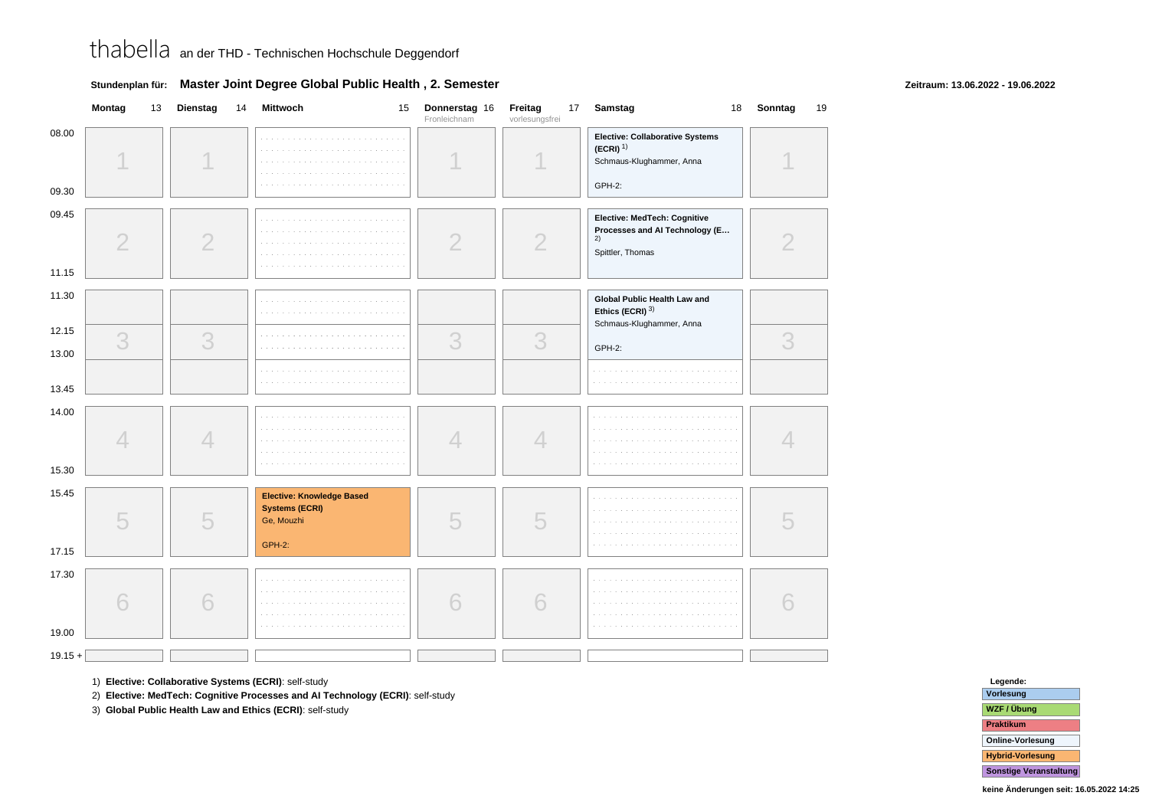|                | Montag         | 13 | Dienstag       | 14 | Mittwoch                                                                   | 15 | Donnerstag 16<br>Fronleichnam | Freitag<br>vorlesungsfrei | 17 | Samstag                                                                                  | 18 | Sonntag | 19 |
|----------------|----------------|----|----------------|----|----------------------------------------------------------------------------|----|-------------------------------|---------------------------|----|------------------------------------------------------------------------------------------|----|---------|----|
| 08.00<br>09.30 |                |    |                |    | .                                                                          |    |                               |                           |    | Elective: Collaborative Systems<br>$(ECRI)^{1}$<br>Schmaus-Klughammer, Anna<br>GPH-2:    |    |         |    |
| 09.45<br>11.15 | $\overline{2}$ |    | $\overline{2}$ |    |                                                                            |    | $\overline{2}$                | $\overline{2}$            |    | Elective: MedTech: Cognitive<br>Processes and Al Technology (E<br>2)<br>Spittler, Thomas |    |         |    |
| 11.30          |                |    |                |    |                                                                            |    |                               |                           |    | Global Public Health Law and<br>Ethics (ECRI) 3)                                         |    |         |    |
| 12.15<br>13.00 | 3              |    | 3              |    | .                                                                          |    | 3                             | 3                         |    | Schmaus-Klughammer, Anna<br>GPH-2:                                                       |    | 3       |    |
| 13.45          |                |    |                |    |                                                                            |    |                               |                           |    |                                                                                          |    |         |    |
| 14.00<br>15.30 | $\angle$       |    | 4              |    |                                                                            |    | 4                             | 4                         |    |                                                                                          |    |         |    |
| 15.45<br>17.15 | 5              |    | 5              |    | Elective: Knowledge Based<br><b>Systems (ECRI)</b><br>Ge, Mouzhi<br>GPH-2: |    | 5                             | 5                         |    |                                                                                          |    |         |    |
| 17.30<br>19.00 | h              |    | 6              |    | <b>Service</b>                                                             |    | 6                             | 6                         |    | <b>Contractor</b>                                                                        |    |         |    |
| $19.15 +$      |                |    |                |    |                                                                            |    |                               |                           |    |                                                                                          |    |         |    |

### **Stundenplan für: Master Joint Degree Global Public Health , 2. Semester**

1) **Elective: Collaborative Systems (ECRI)**: self-study

2) **Elective: MedTech: Cognitive Processes and AI Technology (ECRI)**: self-study

3) **Global Public Health Law and Ethics (ECRI)**: self-study

## **Legende: Vorlesung WZF / ÜbungPraktikum Online-VorlesungHybrid-VorlesungSonstige Veranstaltung**

**Zeitraum: 13.06.2022 - 19.06.2022**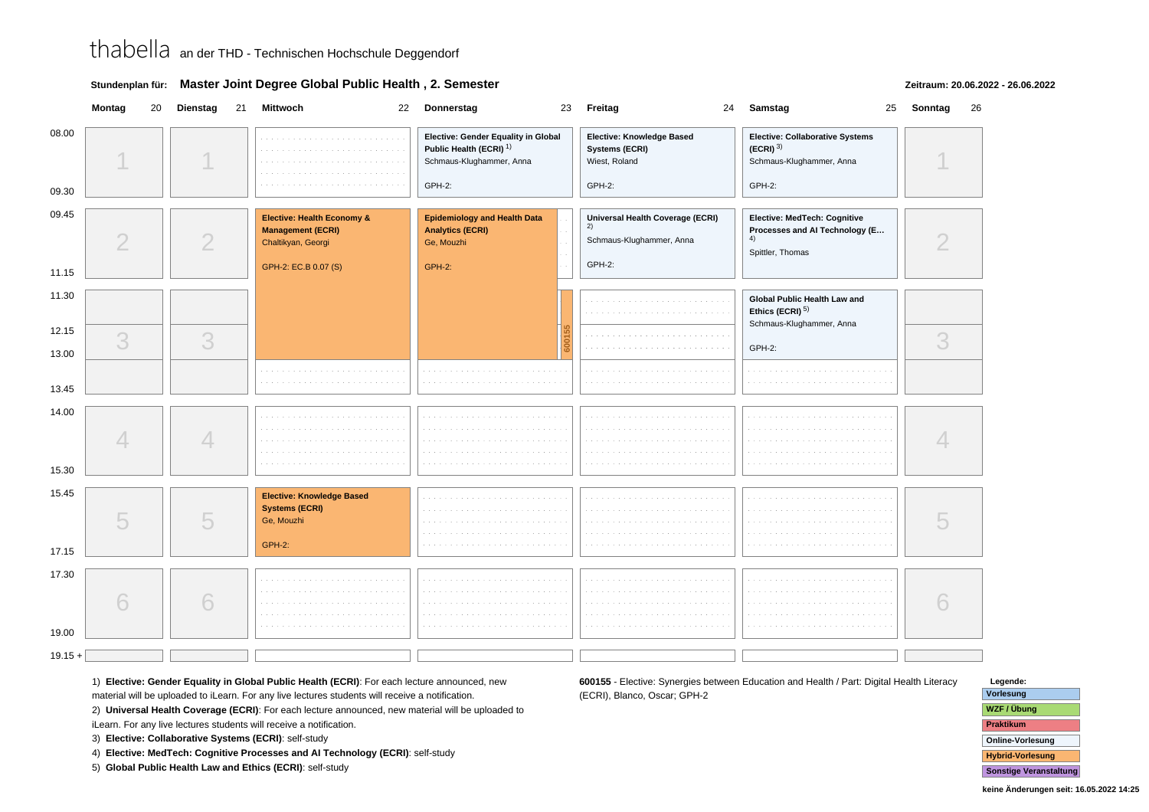|  | Stundenplan für: Master Joint Degree Global Public Health, 2. Semester |
|--|------------------------------------------------------------------------|
|--|------------------------------------------------------------------------|

### **Zeitraum: 20.06.2022 - 26.06.2022**

|                | Montag         | 20 Dienstag              | 21 Mittwoch                                                                                          | 22 Donnerstag                                                                                                   | 23 Freitag                                                                   | 24 Samstag                                                                                             | 25 Sonntag | 26 |
|----------------|----------------|--------------------------|------------------------------------------------------------------------------------------------------|-----------------------------------------------------------------------------------------------------------------|------------------------------------------------------------------------------|--------------------------------------------------------------------------------------------------------|------------|----|
| 08.00<br>09.30 |                |                          |                                                                                                      | Elective: Gender Equality in Global<br>Public Health (ECRI) <sup>1)</sup><br>Schmaus-Klughammer, Anna<br>GPH-2: | Elective: Knowledge Based<br>Systems (ECRI)<br>Wiest, Roland<br>GPH-2:       | <b>Elective: Collaborative Systems</b><br>$(ECRI)$ <sup>3)</sup><br>Schmaus-Klughammer, Anna<br>GPH-2: |            |    |
| 09.45          | $\overline{2}$ | $\mathcal{D}$            | Elective: Health Economy &<br><b>Management (ECRI)</b><br>Chaltikyan, Georgi<br>GPH-2: EC.B 0.07 (S) | <b>Epidemiology and Health Data</b><br><b>Analytics (ECRI)</b><br>Ge, Mouzhi<br><b>GPH-2:</b>                   | Universal Health Coverage (ECRI)<br>2)<br>Schmaus-Klughammer, Anna<br>GPH-2: | Elective: MedTech: Cognitive<br>Processes and Al Technology (E<br>4)<br>Spittler, Thomas               |            |    |
| 11.15          |                |                          |                                                                                                      |                                                                                                                 |                                                                              |                                                                                                        |            |    |
| 11.30          |                |                          |                                                                                                      |                                                                                                                 |                                                                              | <b>Global Public Health Law and</b><br>Ethics (ECRI) $5$ )<br>Schmaus-Klughammer, Anna                 |            |    |
| 12.15          | 3              | 3                        |                                                                                                      |                                                                                                                 |                                                                              |                                                                                                        | 3          |    |
| 13.00          |                |                          |                                                                                                      |                                                                                                                 |                                                                              | GPH-2:                                                                                                 |            |    |
| 13.45          |                |                          |                                                                                                      | .                                                                                                               |                                                                              |                                                                                                        |            |    |
| 14.00<br>15.30 |                | $\overline{\mathcal{A}}$ |                                                                                                      |                                                                                                                 |                                                                              |                                                                                                        |            |    |
| 15.45<br>17.15 | 5              | 5                        | <b>Elective: Knowledge Based</b><br><b>Systems (ECRI)</b><br>Ge, Mouzhi<br><b>GPH-2:</b>             |                                                                                                                 |                                                                              |                                                                                                        |            |    |
| 17.30<br>19.00 |                | 6                        |                                                                                                      |                                                                                                                 |                                                                              |                                                                                                        |            |    |
| $19.15 +$      |                |                          |                                                                                                      |                                                                                                                 |                                                                              |                                                                                                        |            |    |
|                |                |                          |                                                                                                      |                                                                                                                 |                                                                              |                                                                                                        |            |    |

1) **Elective: Gender Equality in Global Public Health (ECRI)**: For each lecture announced, new

material will be uploaded to iLearn. For any live lectures students will receive a notification.

2) **Universal Health Coverage (ECRI)**: For each lecture announced, new material will be uploaded to

iLearn. For any live lectures students will receive a notification.

3) **Elective: Collaborative Systems (ECRI)**: self-study

4) **Elective: MedTech: Cognitive Processes and AI Technology (ECRI)**: self-study

5) **Global Public Health Law and Ethics (ECRI)**: self-study

**600155** - Elective: Synergies between Education and Health / Part: Digital Health Literacy(ECRI), Blanco, Oscar; GPH-2

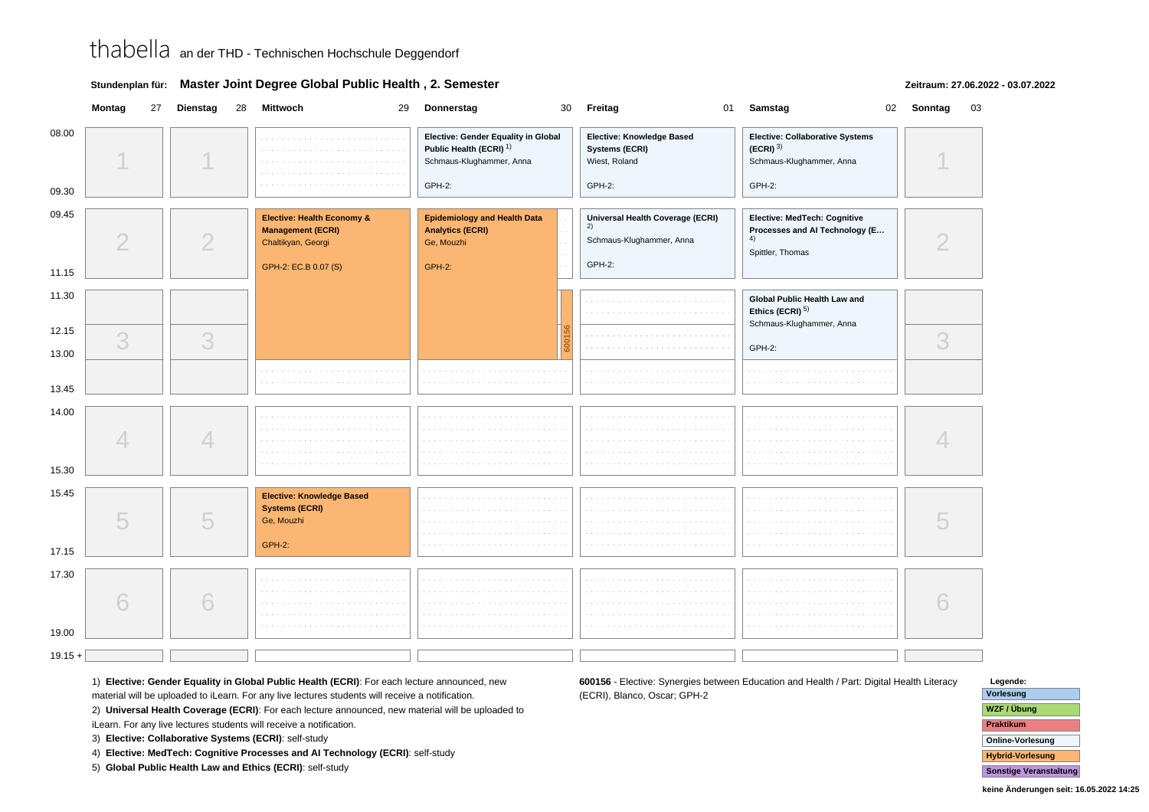|  | Stundenplan für: Master Joint Degree Global Public Health, 2. Semester |
|--|------------------------------------------------------------------------|
|--|------------------------------------------------------------------------|

### **Zeitraum: 27.06.2022 - 03.07.2022**

|                | Montag         | 27 Dienstag    | 28 Mittwoch<br>29                                                                                    | Donnerstag                                                                                                      | 30 <sup>°</sup> | Freitag<br>01                                                                 | Samstag                                                                                  | 02 Sonntag | 03 |
|----------------|----------------|----------------|------------------------------------------------------------------------------------------------------|-----------------------------------------------------------------------------------------------------------------|-----------------|-------------------------------------------------------------------------------|------------------------------------------------------------------------------------------|------------|----|
| 08.00<br>09.30 |                |                |                                                                                                      | Elective: Gender Equality in Global<br>Public Health (ECRI) <sup>1)</sup><br>Schmaus-Klughammer, Anna<br>GPH-2: |                 | Elective: Knowledge Based<br>Systems (ECRI)<br>Wiest, Roland<br>GPH-2:        | Elective: Collaborative Systems<br>$(ECRI)^{3}$<br>Schmaus-Klughammer, Anna<br>GPH-2:    |            |    |
| 09.45          | $\overline{2}$ | $\mathcal{D}%$ | Elective: Health Economy &<br><b>Management (ECRI)</b><br>Chaltikyan, Georgi<br>GPH-2: EC.B 0.07 (S) | <b>Epidemiology and Health Data</b><br><b>Analytics (ECRI)</b><br>Ge, Mouzhi<br><b>GPH-2:</b>                   |                 | Universal Health Coverage (ECRI)<br>(2)<br>Schmaus-Klughammer, Anna<br>GPH-2: | Elective: MedTech: Cognitive<br>Processes and Al Technology (E<br>4)<br>Spittler, Thomas |            |    |
| 11.15          |                |                |                                                                                                      |                                                                                                                 |                 |                                                                               |                                                                                          |            |    |
| 11.30          |                |                |                                                                                                      |                                                                                                                 |                 |                                                                               | Global Public Health Law and<br>Ethics (ECRI) <sup>5)</sup>                              |            |    |
| 12.15          | 3              | 3              |                                                                                                      |                                                                                                                 |                 |                                                                               | Schmaus-Klughammer, Anna                                                                 | 3          |    |
| 13.00          |                |                |                                                                                                      |                                                                                                                 |                 |                                                                               | GPH-2:                                                                                   |            |    |
| 13.45          |                |                |                                                                                                      |                                                                                                                 |                 |                                                                               |                                                                                          |            |    |
| 14.00<br>15.30 |                | 4              |                                                                                                      |                                                                                                                 |                 |                                                                               |                                                                                          |            |    |
| 15.45<br>17.15 | 5              | 5              | <b>Elective: Knowledge Based</b><br><b>Systems (ECRI)</b><br>Ge, Mouzhi<br><b>GPH-2:</b>             |                                                                                                                 |                 |                                                                               |                                                                                          |            |    |
| 17.30<br>19.00 | 6              | 6              |                                                                                                      |                                                                                                                 |                 |                                                                               |                                                                                          |            |    |
| $19.15 +$      |                |                |                                                                                                      |                                                                                                                 |                 |                                                                               |                                                                                          |            |    |
|                |                |                |                                                                                                      |                                                                                                                 |                 |                                                                               |                                                                                          |            |    |

1) **Elective: Gender Equality in Global Public Health (ECRI)**: For each lecture announced, new

material will be uploaded to iLearn. For any live lectures students will receive a notification.

2) **Universal Health Coverage (ECRI)**: For each lecture announced, new material will be uploaded to

iLearn. For any live lectures students will receive a notification.

3) **Elective: Collaborative Systems (ECRI)**: self-study

4) **Elective: MedTech: Cognitive Processes and AI Technology (ECRI)**: self-study

5) **Global Public Health Law and Ethics (ECRI)**: self-study

**600156** - Elective: Synergies between Education and Health / Part: Digital Health Literacy(ECRI), Blanco, Oscar; GPH-2